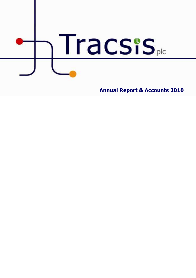

**Annual Report & Accounts 2010**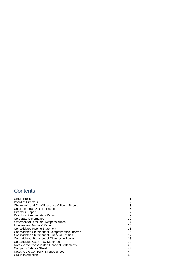### **Contents**

| <b>Group Profile</b>                                |    |
|-----------------------------------------------------|----|
| <b>Board of Directors</b>                           | 2  |
| Chairman's and Chief Executive Officer's Report     | 3  |
| Chief Financial Officer's Report                    | 5  |
| Directors' Report                                   |    |
| Directors' Remuneration Report                      | 9  |
| Corporate Governance                                | 12 |
| Statement of Directors' Responsibilities            | 14 |
| Independent Auditors' Report                        | 15 |
| Consolidated Income Statement                       | 16 |
| Consolidated Statement of Comprehensive Income      | 16 |
| <b>Consolidated Statement of Financial Position</b> | 17 |
| Consolidated Statement of Changes in Equity         | 18 |
| <b>Consolidated Cash Flow Statement</b>             | 19 |
| Notes to the Consolidated Financial Statements      | 20 |
| Company Balance Sheet                               | 43 |
| Notes to the Company Balance Sheet                  | 44 |
| Group Information                                   | 48 |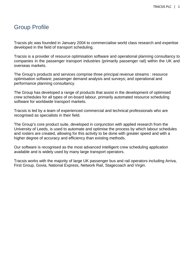### Group Profile

Tracsis plc was founded in January 2004 to commercialise world class research and expertise developed in the field of transport scheduling.

Tracsis is a provider of resource optimisation software and operational planning consultancy to companies in the passenger transport industries (primarily passenger rail) within the UK and overseas markets.

The Group's products and services comprise three principal revenue streams : resource optimisation software; passenger demand analysis and surveys; and operational and performance planning consultancy.

The Group has developed a range of products that assist in the development of optimised crew schedules for all types of on-board labour, primarily automated resource scheduling software for worldwide transport markets.

Tracsis is led by a team of experienced commercial and technical professionals who are recognised as specialists in their field.

The Group's core product suite, developed in conjunction with applied research from the University of Leeds, is used to automate and optimise the process by which labour schedules and rosters are created, allowing for this activity to be done with greater speed and with a higher degree of accuracy and efficiency than existing methods.

Our software is recognised as the most advanced intelligent crew scheduling application available and is widely used by many large transport operators.

Tracsis works with the majority of large UK passenger bus and rail operators including Arriva, First Group, Govia, National Express, Network Rail, Stagecoach and Virgin.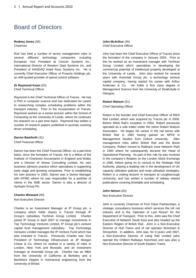### Board of Directors

**Rodney Jones** (58) Chairman

Rod has held a number of senior management roles in several different technology companies including European Vice President at Cincom Systems Inc., International Director of Western Data Systems Inc. and President of NASDAQ listed Ross Systems Inc. He is currently Chief Executive Officer of Proactis Holdings plc, an AIM quoted provider of spend control software.

#### **Dr Raymond Kwan** (53)

Chief Technical Officer

Raymond is the Chief Technical Officer of Tracsis. He has a PhD in computer science and has dedicated his career to researching complex scheduling problems within the transport industry. Prior to the incorporation of Tracsis, Raymond worked as a senior lecturer within the School of Computing at the University of Leeds, where he continues his research on a part time basis. Raymond has written a number of research papers published in journals covering driver scheduling.

#### **Darren Bamforth** (41)

Chief Financial Officer

Darren has been the Chief Financial Officer, on a part-time basis, since the formation of Tracsis. He is a fellow of the Institute of Chartered Accountants in England and Wales and a Director of Atraxa Consulting Limited, his own business advisory practice which specialises in supporting early stage and growing companies. Prior to establishing his own practice in 2002, Darren was a Senior Manager with KPMG where he was responsible for a portfolio of clients in the SME sector. Darren is also a director of Syntopix Group Plc.

#### **Charles Winward** (40)

Non-Executive Director

Charles is an Investment Manager at IP Group plc, a company which holds shares in Tracsis through IP Group's subsidiary Techtran Group Limited. Charles joined IP Group in April 2007 to manage investments in Top Technology Ventures Limited, IP Group plc's venture capital fund management subsidiary. Top Technology Ventures Limited manages the IP Venture Fund which has also invested in Tracsis. Previously Charles was Vice President of Technology Infrastructure at JP Morgan Chase & Co, where he worked in a variety of roles in London, New York and Brussels, and an investment manager at Axiomlab Group plc. Charles has an MBA from the University of California at Berkeley and a Bachelors Degree in mechanical engineering from the University of Bristol.

**John McArthur** (35) Chief Executive Officer

John has been the Chief Executive Officer of Tracsis since the formation of the company in January 2004. Prior to this he worked as an investment manager with Techtran Group Limited which specialises in developing the commercial potential of intellectual property developed at the University of Leeds. John also worked for several years with Axiomlab Group plc, a technology venture capital company, having started his career with Arthur Andersen & Co. He holds a first class degree in Management Science from the University of Strathclyde in Glasgow.

#### **Robert Watson** (51)

Chief Operating Officer

Robert is the founder and Chief Executive Officer of RWA Rail Limited, which was acquired by Tracsis plc in 2008. Before RWA Rail's inception in 2004, Robert previously operated as a sole trader under the name Robert Watson Associates. He began his career in the rail sector with British Rail in 1982 having gained an MPhil in Management Studies from Oxford University. After management roles within British Rail and the Boots Company, Robert moved to Railtrack (now Network Rail) in 1994 where he subsequently became the Head of Operational Planning. As part of this role he was involved in the company's flotation on the London Stock Exchange in 1996, before going on to consult to the Strategic Rail Authority, playing a leading role in the development of UK capacity utilisation policies and route utilisation strategies. Robert is a visiting lecturer in transport at Loughborough University, and has written a number of railway related publications covering timetable and scheduling.

#### **John Nelson** (63)

Non-Executive Director

John is currently Chairman of First Class Partnerships, a strategic consultancy business which services the UK rail industry and is the 'Operator of Last Resort' for the Department of Transport. Prior to this, John was the Chief Executive of Network South East and also headed up the Eastern Region of British Rail. John is a Non-Executive Director of Hull Trains and of rail operator Wrexham & Shropshire. In addition, John was, for 9 years until 2007, a Non-Executive Director of Laing Rail Limited (who operate the Chiltern Railways franchise) and was also a Non-Executive Director of South Eastern Trains.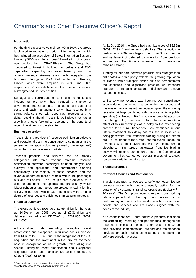### Chairman's and Chief Executive Officer's Report

#### **Introduction**

For the third successive year since IPO in 2007, the Group is pleased to report on a period of further growth which has included the acquisition of Safety Information Systems Limited ("SIS") and the successful marketing of a brand new product line - TRACSRoster. The Group has continued to invest in building our delivery and R&D capabilities, expanding our sales team, growing our organic revenue streams along with integrating the business offerings of RWA Rail Limited and Peeping Limited which were acquired in 2008 and 2009 respectively. Our efforts have resulted in record sales and a strengthened industry position.

Set against a background of continuing economic and industry turmoil, which has included a change of government, the Group has retained a tight control of costs and cash management which has resulted in a strong balance sheet with good cash reserves and no debt. Looking ahead, Tracsis is well placed for further growth and looks forward to reporting on the benefits of recent investments in the short term.

#### **Business overview**

Tracsis plc is a provider of resource optimisation software and operational planning consultancy to companies in the passenger transport industries (primarily passenger rail) within the UK and overseas markets.

Tracsis's products and services can be broadly categorised into three revenue streams: resource optimisation software; passenger demand analysis and surveys; and operational and performance planning consultancy. The majority of these services and the revenue generated therein remain within the passenger bus and rail sector. The Group's core product suite is used to automate and optimise the process by which labour schedules and rosters are created, allowing for this activity to be done with greater speed and with a higher degree of accuracy and efficiency than existing methods.

#### **Financial summary**

The Group achieved revenue of £2.65 million for the year, up 14.5% on our 2009 revenue of £2.31million and delivered an adjusted EBITDA\* of £701,000 (2009: £711,000).

Administrative costs excluding intangible asset amortisation and exceptional acquisition costs increased from £1.65m to £1.97m, due to the integration of the SIS acquisition and the investment in the Group's overhead base in anticipation of future growth. After taking into account intangible asset amortisation and exceptional acquisition costs, total administrative costs amounted to £2.07m (2009: £1.65m).

At 31 July 2010, the Group had cash balances of £2.55m (2009: £2.99m) and remains debt free. The reduction in cash against 2009 was largely due to the SIS acquisition and settlement of deferred consideration from previous acquisitions. The Group's operating cash generation remained strong.

Trading for our core software products was stronger than anticipated and this partly reflects the growing reputation of Tracsis within transport circles but also demonstrates the continued and significant pressure on transport operators to increase operational efficiency and remove extraneous costs.

Whilst software revenue was buoyant, our consultancy activity during the period was somewhat depressed and this was entirely in line with expectation given the on-going recession at large combined with the uncertainty in public spending (i.e. Network Rail) which was brought about by the change of government. An unforeseen knock-on effect of this uncertainly was a delay to the retendering process for UK rail franchises. As mentioned in our interim statement, this delay has resulted in no revenue being generated from franchise bidding during the period but it is testament to the Group that the overall impact on revenues was small given that we have outperformed elsewhere. The Group anticipates franchise bidding activity will resume during 2011 once the Conservative government has carried out several pieces of strategic review work within the rail sector.

#### **Trading progress**

#### **Software Licences and Maintenance**

Tracsis continues to operate a software lease licence business model with contracts usually lasting for the duration of a customer's franchise operations (typically 7 – 10 years). The Group continues to rely on close working relationships with all of the major train operating groups and employ a direct sales model which ensures our people and services and are closely aligned with the needs of the industry.

At present there are 3 core software products that span the scheduling, rostering and performance management reporting functions of transport operations. The Group also provides implementation, support and maintenance services for each product as customers undertake the software adoption process.

<sup>\*</sup> Earnings before finance income, tax, depreciation, amortisation, exceptional costs and share-based payment charges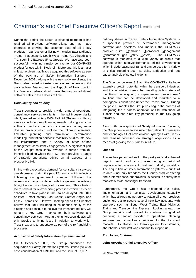### Chairman's and Chief Executive Officer's Report continued

During the period the Group is pleased to report it has retained all previous software clients and has made progress in growing the customer base of all 3 key products. Our customer list now includes East Midlands Trains (Stagecoach), South West Trains (Go-Ahead) and Transpennine Express (First Group). We have also been successful in winning a major contract for our COMPASS product for use within Stockholm Metro and this is a major milestone given that Tracsis acquired this software as part of the purchase of Safety Information Systems in December 2009. Along with the new software clients, the Group also carried out extensive revenue generating pilot work in New Zealand and the Republic of Ireland which the Directors believe should pave the way for additional software sales in the fullness of time.

#### **Consultancy and training**

Tracsis continues to provide a wide range of operational consultancy services to clients in the rail industry via its wholly owned subsidiary RWA Rail Ltd. These consultancy services include one-off engagements utilising our core software products but also encompass larger, more diverse projects which include the following elements: timetable planning and formulation; performance modelling; arbitration services; feasibility studies into new rail infrastructure and a variety of other ad-hoc management consultancy engagements. A significant part of the Groups' consultancy revenue is derived from rail franchise bidding where the RWA team provides a range of strategic operational advice on all aspects of a prospective bid.

In line with expectation, demand for consultancy services was depressed during the past 12 months which reflects a tightening on government spending following the recession at large combined with the general uncertainty brought about by a change of government. This situation led to several rail re-franchising processes which has been scheduled to take place in 2010 to be delayed until 2011 or later – most notably East Coast, Greater Anglia and Essex Thameside. However, looking ahead the Directors believe that 2011 will bring much needed clarity to the situation and continue to believe the transport industry will remain a key target market for both software and consultancy services. Any further unforeseen delays will only provide a timing issue in relation to work which Tracsis expects to undertake as part of the re-franchising processes.

#### **Acquisition of Safety Information Systems Limited**

On 4 December 2009, the Group announced the acquisition of Safety Information Systems Limited (SIS) for cash consideration of £791,000 and the issue of 97,087

ordinary shares in Tracsis. Safety Information Systems is a specialist provider of performance management software and develops and markets the COMPASS product suite (Combined Operational Management Performance and Safety System). The COMPASS software is marketed to a wide variety of clients that operate within safety/performance critical environments which include passenger rail and can be used for a variety of critical reporting such as delay attribution and root cause analysis of safety incidents.

The Directors believes SIS and the COMPASS suite have extensive growth potential within the transport industries and the acquisition meets the overall growth strategy of the Group in acquiring complementary 'best-in-breed' solutions that can be developed and marketed to a homogenous client base under the Tracsis brand. During the past 12 months the Group has begun the process of integrating the business operation of SIS with those of Tracsis and has hired key personnel to run SIS going forwards.

Along with the acquisition of Safety Information Systems, the Group continues to evaluate other relevant businesses and technologies that have obvious synergies with Tracsis and remains focussed on strategic acquisitions as a means of growing the business in future.

#### **Outlook**

Tracsis has performed well in the past year and achieved organic growth and record sales during a period of unprecedented economic turmoil and industry instability. The acquisition of Safety Information Systems – our third to date – not only broadens the Group's product offering and customer base, but provides us access to entirely new markets outside passenger transport.

Furthermore, the Group has expanded our sales, implementation, and technical development capability which has allowed us not only to retain all of our previous customers but to secure several new key accounts with operators such as South West Trains, East Midlands Trains and Transpennine Express. Looking ahead, the Group remains well placed to continue its goal of becoming a leading provider of operational planning software and consultancy services to the transport markets. As always, our thanks go out to customers, shareholders and staff who continue to support us.

#### **Rod Jones, Chairman**

#### **John McArthur, Chief Executive Officer**

26 November 2010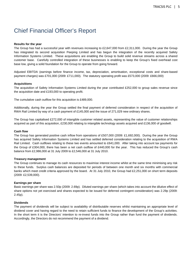### Chief Financial Officer's Report

#### **Results for the year**

The Group has had a successful year with revenues increasing to £2,647,000 from £2,311,000. During the year the Group has integrated its second acquisition Peeping Limited and has begun the integration of the recently acquired Safety Information Systems Limited. These acquisitions are enabling the Group to build solid revenue streams across a shared customer base. Carefully controlled integration of these businesses is enabling to keep the Group's fixed overhead cost base low, giving a solid foundation for the Group to operate from going forward.

Adjusted EBITDA (earnings before finance income, tax, depreciation, amortisation, exceptional costs and share-based payment charges) was £701,000 (2009: £711,000). The statutory operating profit was £573,000 (2009: £666,000)

#### **Acquisitions**

The acquisition of Safety Information Systems Limited during the year contributed £252,000 to group sales revenue since the acquisition date and £193,000 to operating profit.

The cumulative cash outflow for this acquisition is £489,000.

Additionally, during the year the Group settled the final payment of deferred consideration in respect of the acquisition of RWA Rail Limited by way of a cash payment of £145,000 and the issue of 271,029 new ordinary shares.

The Group has capitalised £272,000 of intangible customer related assets, representing the value of customer relationships acquired as part of this acquisition, £230,000 relating to intangible technology assets acquired and £136,000 of goodwill.

#### **Cash flow**

The Group has generated positive cash inflow from operations of £507,000 (2009: £1,692,000). During the year the Group has acquired Safety Information Systems Limited and has settled deferred consideration relating to the acquisition of RWA Rail Limited. Cash outflows relating to these two events amounted to £641,000. After taking into account tax payments for the Group of £304,000, there has been a net cash outflow of £440,000 for the year. This has reduced the Group's cash balance from £2,986,000 at 31 July 2009 to £2,546,000 at 31 July 2010.

#### **Treasury management**

The Group continues to manage its cash resources to maximise interest income whilst at the same time minimising any risk to these funds. Surplus cash balances are deposited for periods of between one month and six months with commercial banks which meet credit criteria approved by the board. At 31 July 2010, the Group had £2,251,000 on short term deposits (2009: £2,539,000).

#### **Earnings per share**

Basic earnings per share was 2.50p (2009: 2.69p). Diluted earnings per share (which takes into account the dilutive effect of share options not yet exercised and shares expected to be issued for deferred contingent consideration) was 2.29p (2009: 2.45p).

#### **Dividends**

The payment of dividends will be subject to availability of distributable reserves whilst maintaining an appropriate level of dividend cover and having regard to the need to retain sufficient funds to finance the development of the Group's activities. In the short term it is the Directors' intention to re-invest funds into the Group rather than fund the payment of dividends. Accordingly, the Directors do not recommend the payment of a dividend.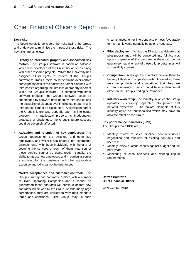### Chief Financial Officer's Report continued

#### **Key risks**

The board carefully considers the risks facing the Group and endeavour to minimise the impact of those risks. The key risks are as follows:

- **History of intellectual property and associated risk factors:** The Group's software is based on software which was developed at the University of Leeds along with other research projects. Whilst the University has assigned all its rights in respect of the Group's software to Tracsis, there could be claims over certain copyright aspects of the software or other disputes with third parties regarding the intellectual property inherent within the Group's software. In common with other software products, the Group's software could be superseded by software developed by third parties and the possibility of disputes over intellectual property with third parties cannot be discounted. A significant part of the Group's future also depends upon its intellectual property. If intellectual property is inadequately protected or challenged, the Group's future success could be adversely affected.
- **Attraction and retention of key employees:** The Group depends on the Directors and other key employees, and whilst it has entered into contractual arrangements with these individuals with the aim of securing the services of each of them, retention of these service cannot be guaranteed. Equally, the ability to attract new employees and in particular senior executives for the business with the appropriate expertise and skills cannot be guaranteed
- **Market acceptances and customer contracts:** The Group currently has contracts in place with a number of Train Operating Companies and it cannot be guaranteed these contracts will continue or that new contracts will be won by the Group. As with many large corporations, they are unlikely to vary their standard terms and conditions. The Group, may, in such

circumstances, enter into contracts on less favourable terms than it would normally be able to negotiate.

- **Pilot deployment:** Whilst the Directors anticipate that pilot programmes will be converted into full licences upon completion of the programme there can be no guarantee that all or any of these pilot programmes will successfully convert.
- **Competition:** Although the Directors believe there to be very little direct competition within the market, there may be products and competitors that they are currently unaware of which could have a detrimental effect on the Group's trading performance.
- **Industry ownership:** The industry in which the Group operates is currently separated into private and national ownership. The private elements of this industry could be renationalised which may have an adverse effect on the Group.

#### **Key performance indicators (KPIs)**

The Group's main KPIs are:

- Monthly review of sales pipeline, contracts under negotiation and renewals of existing contracts and licences;
- Monthly review of actual results against budget and the prior year;
- Monitoring of cash balances and working capital requirements.

**Darren Bamforth Chief Financial Officer** 

26 November 2010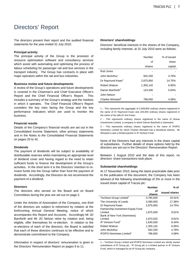### Directors' Report

The directors present their report and the audited financial statements for the year ended 31 July 2010.

#### **Principal activity**

The principal activity of the Group is the provision of resource optimisation software and consultancy services which assist with automating and optimising the process of labour scheduling for passenger rail and bus services in the transport industry. The Group has contracts in place with major operators within the rail and bus industries.

#### **Business review and future developments**

A review of the Group's operations and future developments is covered in the Chairman's and Chief Executive Officer's Report and the Chief Financial Officer's Report. This includes a summary of the Group's strategy and the markets in which it operates. The Chief Financial Officer's Report considers the key risks facing the Group and the key performance indicators which are used to monitor the business.

#### **Financial results**

Details of the Company's financial results are set out in the Consolidated Income Statement, other primary statements and in the Notes to the Consolidated Financial Statements on pages 20 to 42.

#### **Dividends**

The payment of dividends will be subject to availability of distributable reserves whilst maintaining an appropriate level of dividend cover and having regard to the need to retain sufficient funds to finance the development of the Group's activities. In the short term it is the Directors' intention to reinvest funds into the Group rather than fund the payment of dividends. Accordingly, the Directors do not recommend the payment of a dividend.

#### **Directors**

The directors who served on the Board and on Board Committees during the year are set out on page 2.

Under the Articles of Association of the Company, one third of the directors are subject to retirement by rotation at the forthcoming Annual General Meeting, notice of which accompanies this Report and Accounts. Accordingly Mr JD Bamforth and Mr JG Nelson retire by rotation and, being eligible, offer themselves for re-election. In relation to the re-elections of each of the directors, the Board is satisfied that each of these directors continues to be effective and to demonstrate commitment to the Company.

Information in respect of directors' remuneration is given in the Directors' Remuneration Report on pages 9 to 11.

#### **Directors' shareholdings**

Directors' beneficial interests in the shares of the Company, including family interests, at 31 July 2010 were as follows:

|                              | Number    | % of issued |
|------------------------------|-----------|-------------|
|                              | οf        | share       |
|                              | shares    | capital     |
| Rod Jones                    |           |             |
| John McArthur                | 932,250   | 4.78%       |
| Dr Raymond Kwan <sup>1</sup> | 2,875,850 | 14.75%      |
| <b>Robert Watson</b>         | 1,355,142 | 6.95%       |
| Darren Bamforth <sup>2</sup> | 124,300   | 0.64%       |
| John Nelson                  |           |             |
| Charles Winward <sup>3</sup> | 796,650   | 4.08%       |

1 – This represents the aggregate of 2,649,850 ordinary shares registered in the name of Dr Raymond Kwan and 226,000 ordinary shares registered in the name of his wife Dr Ann Kwan.

2 – This represents ordinary shares registered in the name of Atraxa Investments Limited, a company in which Darren Bamforth is interested.

3 – This represents ordinary shares registered in the name of IP2IPO Nominees Limited for which Charles Winward has a beneficial interest. Mr Winward is also a limited partner in IP Venture Fund.

None of the Directors had any interests in the share capital of subsidiaries. Further details of share options held by the directors are set out in the Directors' Remuneration Report.

Between 1 August 2010 and the date of this report, no directors' share transactions took place.

#### **Substantial shareholdings**

At 17 November 2010, being the latest practicable date prior to the publication of this document, the Company has been advised of the following shareholdings of 3% or more in the issued share capital of Tracsis plc:

|                                      | <b>Number</b> | % of          |
|--------------------------------------|---------------|---------------|
|                                      | οf<br>shares  | issued shares |
| Techtran Group Limited <sup>1</sup>  | 3,785,500     | 19.41%        |
| The University of Leeds              | 3,390,000     | 17.38%        |
| Dr Raymond Kwan                      | 2.875.850     | 14.75%        |
| Partnership Investment Equity Fund   |               |               |
| Limited                              | 1.875.000     | 9.61%         |
| Bank of New York (Nominees)          |               |               |
| Limited                              | 1,874,032     | 9.61%         |
| IP Venture Fund <sup>1</sup>         | 1,645,500     | 8.44%         |
| Robert Watson                        | 1,355,142     | 6.95%         |
| John McArthur                        | 932,250       | 4.78%         |
| IP2IPO Nominees Limited <sup>1</sup> | 796,650       | 4.08%         |

1 – Techtran Group Limited and IP2IPO Nominees Limited are wholly owned subsidiaries of IP Group plc. IP Group plc is a limited partner in IP Venture Fund, which is managed by an IP Group plc company.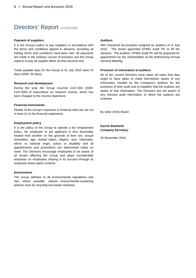### Directors' Report continued

#### **Payment of suppliers**

It is the Group's policy to pay suppliers in accordance with the terms and conditions agreed in advance, providing all trading terms and conditions have been met. All payments are made in the ordinary course of business and the Group expects to pay all supplier debts as they become due.

Trade payable days for the Group at 31 July 2010 were 24 days (2009: 30 days).

#### **Research and development**

During the year the Group incurred £147,000 (2009: £187,000) of expenditure on research activity, which has been charged to the Income Statement.

#### **Financial instruments**

Details of the Group's exposure to financial risks are set out in Note 21 to the financial statements.

#### **Employment policy**

It is the policy of the Group to operate a fair employment policy. No employee or job applicant is less favourably treated than another on the grounds of their sex, sexual orientation, age, marital status, religion, race, nationality, ethnic or national origin, colour or disability and all appointments and promotions are determined solely on merit. The Directors encourage employees to be aware of all issues affecting the Group and place considerable emphasis on employees sharing in its success through its employee share option scheme.

#### **Environment**

The Group adheres to all environmental regulations and has, where possible, utilised environmental-sustaining policies such as recycling and waste reduction.

#### **Auditors**

HW Chartered Accountants resigned as auditors on 8 July 2010. The board appointed KPMG Audit Plc to fill the vacancy. The auditors, KPMG Audit Plc will be proposed for appointment by the shareholders at the forthcoming Annual General Meeting.

#### **Provision of information to auditors**

All of the current Directors have taken all steps that they ought to have taken to make themselves aware of any information needed by the Company's auditors for the purposes of their audit and to establish that the auditors are aware of that information. The Directors are not aware of any relevant audit information of which the auditors are unaware.

By order of the Board

#### **Darren Bamforth Company Secretary**

26 November 2010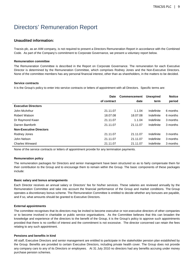### Directors' Remuneration Report

#### **Unaudited information:**

Tracsis plc, as an AIM company, is not required to present a Directors Remuneration Report in accordance with the Combined Code. As part of the Company's commitment to Corporate Governance, we present a voluntary report below.

#### **Remuneration committee**

The Remuneration Committee is described in the Report on Corporate Governance. The remuneration for each Executive Director is determined by the Remuneration Committee, which comprises Rodney Jones and the Non-Executive Directors. None of the committee members has any personal financial interest, other than as shareholders, in the matters to be decided.

#### **Service contracts**

It is the Group's policy to enter into service contracts or letters of appointment with all Directors. Specific terms are:

|                                | <b>Date</b> | <b>Commencement</b> | <b>Unexpired</b> | <b>Notice</b> |
|--------------------------------|-------------|---------------------|------------------|---------------|
|                                | of contract | date                | term             | period        |
| <b>Executive Directors</b>     |             |                     |                  |               |
| John McArthur                  | 21.11.07    | 1.1.04              | Indefinite       | 6 months      |
| Robert Watson                  | 18.07.08    | 18.07.08            | Indefinite       | 6 months      |
| Dr Raymond Kwan                | 21.11.07    | 1.1.04              | Indefinite       | 3 months      |
| Darren Bamforth                | 21.11.07    | 21.11.07            | Indefinite       | 3 months      |
| <b>Non-Executive Directors</b> |             |                     |                  |               |
| Rodney Jones                   | 21.11.07    | 21.11.07            | Indefinite       | 3 months      |
| John Nelson                    | 21.11.07    | 21.11.07            | Indefinite       | 3 months      |
| <b>Charles Winward</b>         | 21.11.07    | 21.11.07            | Indefinite       | 3 months      |

None of the service contracts or letters of appointment provide for any termination payments.

#### **Remuneration policy**

The remuneration packages for Directors and senior management have been structured so as to fairly compensate them for their contribution to the Group and to encourage them to remain within the Group. The basic components of these packages include:

#### **Basic salary and bonus arrangements**

Each Director receives an annual salary or Directors' fee for his/her services. These salaries are reviewed annually by the Remuneration Committee and take into account the financial performance of the Group and market conditions. The Group operates a discretionary bonus scheme. The Remuneration Committee is entitled to decide whether any bonuses are payable, and if so, what amounts should be granted to Executive Directors.

#### **External appointments**

The committee recognises that its directors may be invited to become executive or non-executive directors of other companies or to become involved in charitable or public service organisations. As the Committee believes that this can broaden the knowledge and experience of the directors to the benefit of the Group, it is the Group's policy to approve such appointments provided that there is no conflict of interest and the commitment is not excessive. The director concerned can retain the fees relating to any such appointment.

#### **Pensions and benefits in kind**

All staff, Executive Directors and senior management are entitled to participate in the stakeholder pension plan established by the Group. Benefits are provided to certain Executive Directors, including private health cover. The Group does not provide any company cars to any of its Directors or employees. At 31 July 2010 no directors had any benefits accruing under money purchase pension schemes.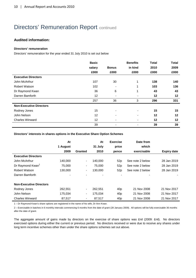### **Directors' Remuneration Report continued**

### **Audited information:**

#### **Directors' remuneration**

Directors' remuneration for the year ended 31 July 2010 is set out below

|                                | <b>Basic</b>      |              | <b>Benefits</b>          | <b>Total</b> | <b>Total</b> |
|--------------------------------|-------------------|--------------|--------------------------|--------------|--------------|
|                                | salary            | <b>Bonus</b> | in kind                  | 2010         | 2009         |
|                                | £000              | £000         | £000                     | £000         | £000         |
| <b>Executive Directors</b>     |                   |              |                          |              |              |
| John McArthur                  | 107               | 30           | 1                        | 138          | 140          |
| Robert Watson                  | 102               |              | 1                        | 103          | 136          |
| Dr Raymond Kwan                | 36                | 6            | 1                        | 43           | 43           |
| Darren Bamforth                | $12 \overline{ }$ | ٠            |                          | 12           | $12 \,$      |
|                                | 257               | 36           | 3                        | 296          | 331          |
| <b>Non-Executive Directors</b> |                   |              |                          |              |              |
| Rodney Jones                   | 15                | ٠            |                          | 15           | 15           |
| John Nelson                    | $12 \overline{ }$ | ٠            | $\overline{\phantom{0}}$ | 12           | $12 \,$      |
| <b>Charles Winward</b>         | $12 \overline{ }$ |              |                          | 12           | $12 \,$      |
|                                | 39                |              |                          | 39           | 39           |

### **Directors' interests in shares options in the Executive Share Option Schemes**

|                                | At             |         | At                       | <b>Exercise</b> | Date from        |                    |
|--------------------------------|----------------|---------|--------------------------|-----------------|------------------|--------------------|
|                                | 1 August       |         | 31 July                  | price           | which            |                    |
|                                | 2009           | Granted | 2010                     | pence           | exercisable      | <b>Expiry date</b> |
| <b>Executive Directors</b>     |                |         |                          |                 |                  |                    |
| John McArthur                  | 140,000        | ٠       | 140,000                  | 52p             | See note 2 below | 28 Jan 2019        |
| Dr Raymond Kwan <sup>1</sup>   | 75,000         | ۰.      | 75,000                   | 52p             | See note 2 below | 28 Jan 2019        |
| Robert Watson                  | 130,000        | ۰.      | 130,000                  | 52p             | See note 2 below | 28 Jan 2019        |
| Darren Bamforth                | $\blacksquare$ |         | $\overline{\phantom{0}}$ | ٠               |                  |                    |
| <b>Non-Executive Directors</b> |                |         |                          |                 |                  |                    |
| Rodney Jones                   | 262,551        | $\sim$  | 262,551                  | 40 <sub>p</sub> | 21 Nov 2008      | 21 Nov 2017        |
| John Nelson                    | 175.034        | ٠       | 175.034                  | 40 <sub>p</sub> | 21 Nov 2008      | 21 Nov 2017        |
| <b>Charles Winward</b>         | 87,517         | ٠       | 87,517                   | 40 <sub>p</sub> | 21 Nov 2008      | 21 Nov 2017        |

1 – Dr Raymond Kwan's share options are registered in the name of his wife, Dr Ann Kwan.

2 – Exercisable in batches in 6 monthly intervals commencing 6 months from the date of grant (28 January 2009). All options will be fully exercisable 36 months after the date of grant.

The aggregate amount of gains made by directors on the exercise of share options was £nil (2009: £nil). No directors exercised options during either the current or previous period. No directors received or were due to receive any shares under long term incentive schemes other than under the share options schemes set out above.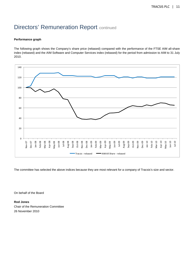### **Directors' Remuneration Report continued**

#### **Performance graph**

The following graph shows the Company's share price (rebased) compared with the performance of the FTSE AIM all-share index (rebased) and the AIM Software and Computer Services index (rebased) for the period from admission to AIM to 31 July 2010.



The committee has selected the above indices because they are most relevant for a company of Tracsis's size and sector.

On behalf of the Board

#### **Rod Jones**

Chair of the Remuneration Committee 26 November 2010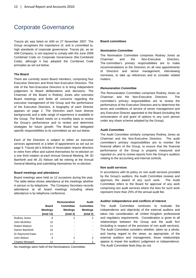### Corporate Governance

Tracsis plc was listed on AIM on 27 November 2007. The Group recognises the importance of, and is committed to, high standards of corporate governance. Tracsis plc, as an AIM Company, is not required to comply with the June 2008 Combined Code on Corporate Governance (the Combined Code), although it has adopted the Combined Code principles as set out below.

#### **The Board**

There are currently seven Board members, comprising four Executive Directors and three Non-Executive Directors. The role of the Non-Executive Directors is to bring independent judgement to Board deliberations and decisions. The Chairman of the Board is Rodney Jones who oversees Board meetings and fields all concerns regarding the executive management of the Group and the performance of the Executive Directors. A biography of each Director appears on page 2. The Directors each have diverse backgrounds and a wide range of experience is available to the Group. The Board meets on a monthly basis to review the Group's performance and to review and determine strategies for future growth. The Board has delegated specific responsibilities to its committees as set out below.

Each of the Directors is subject to either an executive services agreement or a letter of appointment as set out on page 9. Tracsis plc's Articles of Association require directors to retire from office and submit themselves for re-election on a one third rotation at each Annual General Meeting. Mr JD Bamforth and Mr JG Nelson will be retiring at the Annual General Meeting and submitting themselves for re-election.

#### **Board meetings and attendance**

Board meetings were held on 12 occasions during the year. The table below shows attendance at the meetings whether in person or by telephone. The Company Secretary records attendance at all board meetings including where attendance is by telephone conference.

|                        |                 | <b>Remuneration</b> | Audit            |
|------------------------|-----------------|---------------------|------------------|
|                        | <b>Board</b>    | Committee           | <b>Committee</b> |
|                        | <b>Meetings</b> | <b>Meetings</b>     | <b>Meetings</b>  |
|                        | (total 12)      | (total 2)           | (total 2)        |
| Rodney Jones           | 8               | 2                   | 2                |
| John McArthur          | 12              |                     |                  |
| Robert Watson          | 11              |                     |                  |
| Darren Bamforth        | 10              |                     |                  |
| Dr Raymond Kwan        | 11              |                     |                  |
| John Nelson            | 9               | 2                   | 2                |
| <b>Charles Winward</b> | 11              | 2                   | 2                |

No meetings were held of the Nominations Committee.

#### **Board committees**

#### **Nomination Committee**

The Nomination Committee comprises Rodney Jones as Chairman and the Non-Executive Directors. The committee's primary responsibilities are to make recommendations to the Directors on all new appointments of Directors and senior management, interviewing nominees, to take up references and to consider related matters.

#### **Remuneration Committee**

The Remuneration Committee comprises Rodney Jones as Chairman and the Non-Executive Directors. The committee's primary responsibilities are to review the performance of the Executive Directors and to determine the terms and conditions of service of senior management and any Executive Director appointed to the Board (including the remuneration of and grant of options to any such person under any share scheme adopted by the Group).

#### **Audit Committee**

The Audit Committee similarly comprises Rodney Jones as Chairman and the Non-Executive Directors. The audit committee's primary responsibilities are to monitor the financial affairs of the Group, to ensure that the financial performance of the Group is properly measured and reported on, and to review reports from the Group's auditors relating to the accounting and internal controls.

#### **Non audit services**

In accordance with its policy on non audit services provided by the Group's auditors, the Audit Committee reviews and approves the award of any such work. The Audit Committee refers to the Board for approval of any work comprising non audit services where the fees for such work represent more than 25% of the annual audit fee.

#### **Auditor independence and conflicts of interest**

The Audit Committee continues to evaluate the independence and objectivity of the external auditors and takes into consideration all United Kingdom professional and regulatory requirements. Consideration is given to all relationships between the Group and the audit firm (including in respect of the provision of non audit services). The Audit Committee considers whether, taken as a whole, and having regard to the views, as appropriate, of the external auditors and management, those relationships appear to impair the auditors' judgement or independence. The Audit Committee feels they do not.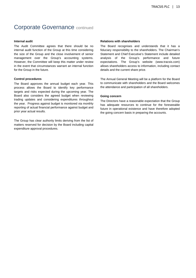### **Corporate Governance continued**

#### **Internal audit**

The Audit Committee agrees that there should be no internal audit function of the Group at this time considering the size of the Group and the close involvement of senior management over the Group's accounting systems. However, the Committee will keep this matter under review in the event that circumstances warrant an internal function for the Group in the future.

#### **Control procedures**

The Board approves the annual budget each year. This process allows the Board to identify key performance targets and risks expected during the upcoming year. The Board also considers the agreed budget when reviewing trading updates and considering expenditures throughout the year. Progress against budget is monitored via monthly reporting of actual financial performance against budget and prior year actual results.

The Group has clear authority limits deriving from the list of matters reserved for decision by the Board including capital expenditure approval procedures.

#### **Relations with shareholders**

The Board recognises and understands that it has a fiduciary responsibility to the shareholders. The Chairman's Statement and Chief Executive's Statement include detailed analysis of the Group's performance and future expectations. The Group's website (www.tracsis.com) allows shareholders access to information, including contact details and the current share price.

The Annual General Meeting will be a platform for the Board to communicate with shareholders and the Board welcomes the attendance and participation of all shareholders.

#### **Going concern**

The Directors have a reasonable expectation that the Group has adequate resources to continue for the foreseeable future in operational existence and have therefore adopted the going concern basis in preparing the accounts.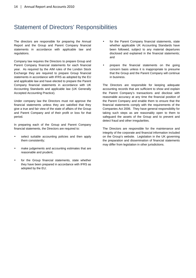### Statement of Directors' Responsibilities

The directors are responsible for preparing the Annual Report and the Group and Parent Company financial statements in accordance with applicable law and regulations.

Company law requires the Directors to prepare Group and Parent Company financial statements for each financial year. As required by the AIM rules of the London Stock Exchange they are required to prepare Group financial statements in accordance with IFRS as adopted by the EU and applicable law and have elected to prepare the Parent Company financial statements in accordance with UK Accounting Standards and applicable law (UK Generally Accepted Accounting Practice).

Under company law the Directors must not approve the financial statements unless they are satisfied that they give a true and fair view of the state of affairs of the Group and Parent Company and of their profit or loss for that period.

In preparing each of the Group and Parent Company financial statements, the Directors are required to:

- select suitable accounting policies and then apply them consistently;
- make judgements and accounting estimates that are reasonable and prudent;
- for the Group financial statements, state whether they have been prepared in accordance with IFRS as adopted by the EU;
- for the Parent Company financial statements, state whether applicable UK Accounting Standards have been followed, subject to any material departures disclosed and explained in the financial statements; and
- prepare the financial statements on the going concern basis unless it is inappropriate to presume that the Group and the Parent Company will continue in business.

The Directors are responsible for keeping adequate accounting records that are sufficient to show and explain the Parent Company's transactions and disclose with reasonable accuracy at any time the financial position of the Parent Company and enable them to ensure that the financial statements comply with the requirements of the Companies Act 2006. They have general responsibility for taking such steps as are reasonably open to them to safeguard the assets of the Group and to prevent and detect fraud and other irregularities.

The Directors are responsible for the maintenance and integrity of the corporate and financial information included on the Group's website. Legislation in the UK governing the preparation and dissemination of financial statements may differ from legislation in other jurisdictions.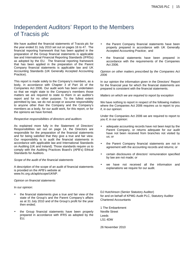### Independent Auditors' Report to the Members of Tracsis plc

We have audited the financial statements of Tracsis plc for the year ended 31 July 2010 set out on pages 16 to 47. The financial reporting framework that has been applied in the preparation of the Group financial statements is applicable law and International Financial Reporting Standards (IFRSs) as adopted by the EU. The financial reporting framework that has been applied in the preparation of the Parent Company financial statements is applicable law and UK Accounting Standards (UK Generally Accepted Accounting Practice).

This report is made solely to the Company's members, as a body, in accordance with Chapter 3 of Part 16 of the Companies Act 2006. Our audit work has been undertaken so that we might state to the Company's members those matters we are required to state to them in an auditor's report and for no other purpose. To the fullest extent permitted by law, we do not accept or assume responsibility to anyone other than the Company and the Company's members as a body, for our audit work, for this report, or for the opinions we have formed.

#### Respective responsibilities of directors and auditors

As explained more fully in the Statement of Directors' Responsibilities set out on page 14, the Directors are responsible for the preparation of the financial statements and for being satisfied that they give a true and fair view. Our responsibility is to audit the financial statements in accordance with applicable law and International Standards on Auditing (UK and Ireland). Those standards require us to comply with the Auditing Practices Board's (APB's) Ethical Standards for Auditors.

#### Scope of the audit of the financial statements

A description of the scope of an audit of financial statements is provided on the APB's website at www.frc.org.uk/apb/scope/UKNP.

#### Opinion on financial statements

In our opinion:

- the financial statements give a true and fair view of the state of the Group's and the Parent Company's affairs as at 31 July 2010 and of the Group's profit for the year then ended;
- the Group financial statements have been properly prepared in accordance with IFRS as adopted by the EU;
- the Parent Company financial statements have been properly prepared in accordance with UK Generally Accepted Accounting Practice; and
- the financial statements have been prepared in accordance with the requirements of the Companies Act 2006.

Opinion on other matters prescribed by the Companies Act 2006

In our opinion the information given in the Directors' Report for the financial year for which the financial statements are prepared is consistent with the financial statements.

Matters on which we are required to report by exception

We have nothing to report in respect of the following matters where the Companies Act 2006 requires us to report to you if, in our opinion:

Under the Companies Act 2006 we are required to report to you if, in our opinion:

- adequate accounting records have not been kept by the Parent Company, or returns adequate for our audit have not been received from branches not visited by us; or
- the Parent Company financial statements are not in agreement with the accounting records and returns; or
- certain disclosures of directors' remuneration specified by law are not made; or
- we have not received all the information and explanations we require for our audit.

DJ Hutchinson (Senior Statutory Auditor) for and on behalf of KPMG Audit PLC, Statutory Auditor Chartered Accountants

1 The Embankment Neville Street Leeds LS1 4DW

26 November 2010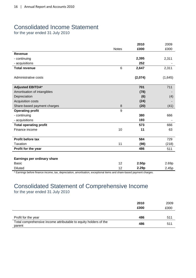### Consolidated Income Statement

for the year ended 31 July 2010

|                               |              | 2010    | 2009    |
|-------------------------------|--------------|---------|---------|
|                               | <b>Notes</b> | £000    | £000    |
| <b>Revenue</b>                |              |         |         |
| - continuing                  |              | 2,395   | 2,311   |
| - acquisitions                |              | 252     |         |
| <b>Total revenue</b>          | 6            | 2,647   | 2,311   |
| Administrative costs          |              | (2,074) | (1,645) |
| <b>Adjusted EBITDA*</b>       |              | 701     | 711     |
| Amortisation of intangibles   |              | (78)    |         |
| Depreciation                  |              | (6)     | (4)     |
| Acquisition costs             |              | (24)    |         |
| Share-based payment charges   | 8            | (20)    | (41)    |
| <b>Operating profit</b>       | 9            |         |         |
| - continuing                  |              | 380     | 666     |
| - acquisitions                |              | 193     |         |
| <b>Total operating profit</b> |              | 573     | 666     |
| Finance income                | 10           | 11      | 63      |
| Profit before tax             |              | 584     | 729     |
| Taxation                      | 11           | (98)    | (218)   |
| Profit for the year           |              | 486     | 511     |
| Earnings per ordinary share   |              |         |         |
| <b>Basic</b>                  | 12           | 2.50p   | 2.69p   |
| <b>Diluted</b>                | 12           | 2.29p   | 2.45p   |

\* Earnings before finance income, tax, depreciation, amortisation, exceptional items and share-based payment charges.

# Consolidated Statement of Comprehensive Income

for the year ended 31 July 2010

|                                                                            | 2010<br>£000 | 2009<br>£000 |
|----------------------------------------------------------------------------|--------------|--------------|
| Profit for the year                                                        | 486          | 511          |
| Total comprehensive income attributable to equity holders of the<br>parent | 486          | 511          |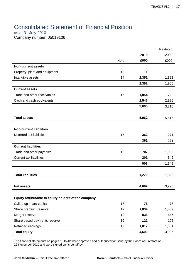### Consolidated Statement of Financial Position

as at 31 July 2010 Company number: 05019106

|                                                      |             |       | Restated |
|------------------------------------------------------|-------------|-------|----------|
|                                                      |             | 2010  | 2009     |
|                                                      | <b>Note</b> | £000  | £000     |
| <b>Non-current assets</b>                            |             |       |          |
| Property, plant and equipment                        | 13          | 11    | 8        |
| Intangible assets                                    | 14          | 2,351 | 1,892    |
|                                                      |             | 2,362 | 1,900    |
| <b>Current assets</b>                                |             |       |          |
| Trade and other receivables                          | 15          | 1,054 | 729      |
| Cash and cash equivalents                            |             | 2,546 | 2,986    |
|                                                      |             | 3,600 | 3,715    |
|                                                      |             |       |          |
| <b>Total assets</b>                                  |             | 5,962 | 5,615    |
|                                                      |             |       |          |
| <b>Non-current liabilities</b>                       |             |       |          |
| Deferred tax liabilities                             | 17          | 362   | 271      |
|                                                      |             | 362   | 271      |
| <b>Current liabilities</b>                           |             |       |          |
| Trade and other payables                             | 16          | 707   | 1,003    |
| <b>Current tax liabilities</b>                       |             | 201   | 346      |
|                                                      |             | 908   | 1,349    |
|                                                      |             |       |          |
| <b>Total liabilities</b>                             |             | 1,270 | 1,620    |
|                                                      |             |       |          |
| <b>Net assets</b>                                    |             | 4,692 | 3,995    |
|                                                      |             |       |          |
| Equity attributable to equity holders of the company |             |       |          |
| Called up share capital                              | 18          | 78    | 77       |
| Share premium reserve                                | 19          | 1,839 | 1,839    |
| Merger reserve                                       | 19          | 836   | 646      |
| Share based payments reserve                         | 19          | 122   | 102      |
| Retained earnings                                    | 19          | 1,817 | 1,331    |
| <b>Total equity</b>                                  |             | 4,692 | 3,995    |

The financial statements on pages 16 to 42 were approved and authorised for issue by the Board of Directors on 26 November 2010 and were signed on its behalf by: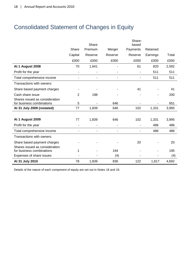# Consolidated Statement of Changes in Equity

|          |               | (4)          |
|----------|---------------|--------------|
|          |               | 195          |
| 20       |               | 20           |
|          |               |              |
|          |               |              |
|          | 486           | 486          |
|          |               | 486          |
|          |               | 3,995        |
| 102      | 1,331         | 3,995        |
|          |               | 651          |
|          |               | 200          |
| 41       |               | 41           |
|          |               |              |
| ٠        | 511           | 511          |
|          | 511           | 511          |
| 61       | 820           | 2,592        |
| £000     | £000          | £000         |
| Reserve  | Earnings      | Total        |
| Payments | Retained      |              |
| based    |               |              |
|          | Share-<br>102 | 1,331<br>486 |

Details of the nature of each component of equity are set out in Notes 18 and 19.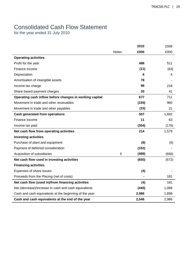### Consolidated Cash Flow Statement

for the year ended 31 July 2010

|                                                         |              | 2010  | 2009  |
|---------------------------------------------------------|--------------|-------|-------|
|                                                         | <b>Notes</b> | £000  | £000  |
| <b>Operating activities</b>                             |              |       |       |
| Profit for the year                                     |              | 486   | 511   |
| Finance income                                          |              | (11)  | (63)  |
| Depreciation                                            |              | 6     | 4     |
| Amortisation of intangible assets                       |              | 78    |       |
| Income tax charge                                       |              | 98    | 218   |
| Share based payment charges                             |              | 20    | 41    |
| Operating cash inflow before changes in working capital |              | 677   | 711   |
| Movement in trade and other receivables                 |              | (155) | 960   |
| Movement in trade and other payables                    |              | (15)  | 21    |
| <b>Cash generated from operations</b>                   |              | 507   | 1,692 |
| Finance income                                          |              | 11    | 63    |
| Income tax paid                                         |              | (304) | (176) |
| Net cash flow from operating activities                 |              | 214   | 1,579 |
| <b>Investing activities</b>                             |              |       |       |
| Purchase of plant and equipment                         |              | (9)   | (6)   |
| Payment of deferred consideration                       |              | (152) |       |
| Acquisition of subsidiaries                             | 5            | (489) | (666) |
| Net cash flow used in investing activities              |              | (650) | (672) |
| <b>Financing activities</b>                             |              |       |       |
| Expenses of share issues                                |              | (4)   |       |
| Proceeds from the Placing (net of costs)                |              |       | 181   |
| Net cash flow (used in)/from financing activities       |              | (4)   | 181   |
| Net (decrease)/increase in cash and cash equivalents    |              | (440) | 1,088 |
| Cash and cash equivalents at the beginning of the year  |              | 2,986 | 1,898 |
| Cash and cash equivalents at the end of the year        |              | 2,546 | 2,986 |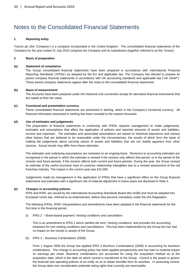#### **1 Reporting entity**

Tracsis plc (the 'Company') is a company incorporated in the United Kingdom. The consolidated financial statements of the Company for the year ended 31 July 2010 comprise the Company and its subsidiaries (together referred to as the 'Group').

#### **2 Basis of preparation**

#### **(a) Statement of compliance**

The Group consolidated financial statements have been prepared in accordance with International Financial Reporting Standards ('IFRSs') as adopted by the EU and applicable law. The Company has elected to prepare its parent company financial statements in accordance with UK accounting standards and applicable law ('UK GAAP'). These parent company statements appear after the notes to the consolidated financial statements.

#### **(b) Basis of measurement**

The Accounts have been prepared under the historical cost convention except for derivative financial instruments that are stated at their fair value.

#### **(c) Functional and presentation currency**

These consolidated financial statements are presented in sterling, which is the Company's functional currency. All financial information presented in sterling has been rounded to the nearest thousand.

#### **(d) Use of estimates and judgements**

The preparation of financial statements in conformity with IFRSs requires management to make judgements, estimates and assumptions that affect the application of policies and reported amounts of assets and liabilities, income and expenses. The estimates and associated assumptions are based on historical experience and various other factors that are believed to be reasonable under the circumstances, the results of which form the basis of making the judgements about carrying values of assets and liabilities that are not readily apparent from other sources. Actual results may differ from these estimates.

The estimates and underlying assumptions are reviewed on an ongoing basis. Revisions to accounting estimates are recognised in the period in which the estimate is revised if the revision only affects that period, or in the period of the revision and future periods, if the revision affects both current and future periods. During the year, the Group revised its estimate of the useful economic lives of customer relationship intangibles due to a revised assessment of the rail franchise industry. The impact in the current year was £31,000.

Judgements made by management in the application of IFRSs that have a significant effect on the Group financial statements and estimates with a significant risk of material adjustment in future years are disclosed in Note 4.

#### **(e) Changes in accounting policies**

IFRS and IFRIC are issued by the International Accounting Standards Board (the IASB) and must be adopted into European Union law, referred to as endorsement, before they become mandatory under the IAS Regulation.

The following IFRSs, IFRIC interpretations and amendments have been adopted in the financial statements for the first time in this financial period:

(i) IFRS 2 – Share-based payment: Vesting conditions and cancellation

 This is an amendment to IFRS 2 which clarifies the term "vesting conditions" and provides the accounting treatment for non-vesting conditions and cancellations. This has been implemented by the Group but has had no impact on the results or assets of the Group.

(ii) IFRS 3 – Business Combinations (2008)

From 1 August 2009 the Group has applied IFRS 3 Business Combinations (2008) in accounting for business combinations. The change in accounting policy has been applied prospectively and has had no material impact on earnings per share. Business combinations are accounted for using the acquisition method as at the acquisition date, which is the date on which control is transferred to the Group. Control is the power to govern the financial and operating policies of an entity so as to obtain benefits from its activities. In assessing control, the Group takes into consideration potential voting rights that currently are exercisable.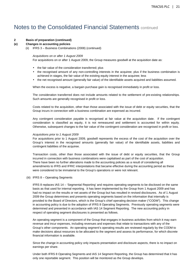#### **2 Basis of preparation (continued)**

#### **(e) Changes in accounting policies**

(ii) IFRS 3 – Business Combinations (2008) (continued)

#### Acquisitions on or after 1 August 2009

For acquisitions on or after 1 August 2009, the Group measures goodwill at the acquisition date as:

- the fair value of the consideration transferred; plus
- the recognised amount of any non-controlling interests in the acquiree; plus if the business combination is achieved in stages, the fair value of the existing equity interest in the acquiree; less
- the net recognised amount (generally fair value) of the identifiable assets acquired and liabilities assumed.

When the excess is negative, a bargain purchase gain is recognised immediately in profit or loss.

 The consideration transferred does not include amounts related to the settlement of pre-existing relationships. Such amounts are generally recognised in profit or loss.

 Costs related to the acquisition, other than those associated with the issue of debt or equity securities, that the Group incurs in connection with a business combination are expensed as incurred.

 Any contingent consideration payable is recognised at fair value at the acquisition date. If the contingent consideration is classified as equity, it is not remeasured and settlement is accounted for within equity. Otherwise, subsequent changes to the fair value of the contingent consideration are recognised in profit or loss.

#### Acquisitions prior to 1 August 2009

 For acquisitions prior to 1 August 2009, goodwill represents the excess of the cost of the acquisition over the Group's interest in the recognised amounts (generally fair value) of the identifiable assets, liabilities and contingent liabilities of the acquiree.

 Transaction costs, other than those associated with the issue of debt or equity securities, that the Group incurred in connection with business combinations were capitalised as part of the cost of acquisition. There have been no further alterations made to the accounting policies as a result of considering all amendments to IFRS and IFRIC interpretations that became effective during the accounting period as these were considered to be immaterial to the Group's operations or were not relevant.

(iii) IFRS 8 – Operating Segments

 IFRS 8 replaces IAS 14 – 'Segmental Reporting' and requires operating segments to be disclosed on the same basis as that used for internal reporting. It has been implemented by the Group from 1 August 2009 and has had no impact on the results or net assets of the Group but has resulted in revised disclosures. As of 1 August 2009 the Group determines and presents operating segments based on the information that internally is provided to the Board of Directors, which is the Group's chief operating decision maker ("CODM"). This change in accounting policy is due to the adoption of IFRS 8 Operating Segments. Previously operating segments were determined and presented in accordance with IAS 14 Segment Reporting. The new accounting policy in respect of operating segment disclosures is presented as follows.

An operating segment is a component of the Group that engages in business activities from which it may earn revenue and incur expenses, including revenues and expenses that relate to transactions with any of the Group's other components. An operating segment's operating results are reviewed regularly by the CODM to make decisions about resources to be allocated to the segment and assess its performance, for which discrete financial information is available.

Since the change in accounting policy only impacts presentation and disclosure aspects, there is no impact on earnings per share.

Under both IFRS 8 Operating Segments and IAS 14 Segment Reporting, the Group has determined that it has only one reportable segment. This position will be monitored as the Group develops.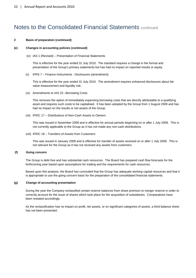#### **2 Basis of preparation (continued)**

#### **(e) Changes in accounting policies (continued)**

(iv) IAS 1 (Revised) – Presentation of Financial Statements

 This is effective for the year ended 31 July 2010. The standard requires a change in the format and presentation of the Group's primary statements but has had no impact on reported results or equity.

(v) IFRS 7 – Finance Instruments - Disclosures (amendment)

 This is effective for the year ended 31 July 2010. The amendment requires enhanced disclosures about fair value measurement and liquidity risk.

(vi) Amendments to IAS 23 –Borrowing Costs

 This removes the option of immediately expensing borrowing costs that are directly attributable to a qualifying asset and requires such costs to be capitalised. It has been adopted by the Group from 1 August 2009 and has had no impact on the results or net assets of the Group.

(vii) IFRIC 17 – Distributions of Non-Cash Assets to Owners

 This was issued in November 2008 and is effective for annual periods beginning on or after 1 July 2009. This is not currently applicable to the Group as it has not made any non-cash distributions.

(viii) IFRIC 18 – Transfers of Assets from Customers

 This was issued in January 2009 and is effective for transfer of assets received on or after 1 July 2009. This is not relevant for the Group as it has not received any assets from customers.

#### **(f) Going concern**

The Group is debt free and has substantial cash resources. The Board has prepared cash flow forecasts for the forthcoming year based upon assumptions for trading and the requirements for cash resources.

Based upon this analysis, the Board has concluded that the Group has adequate working capital resources and that it is appropriate to use the going concern basis for the preparation of the consolidated financial statements.

#### **(g) Change of accounting presentation**

During the year the Company reclassified certain reserve balances from share premium to merger reserve in order to correctly account for the issue of shares which took place for the acquisition of subsidiaries. Comparatives have been restated accordingly.

As the reclassification has no impact on profit, net assets, or on significant categories of assets, a third balance sheet has not been presented.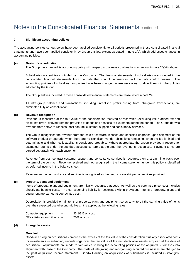#### **3 Significant accounting policies**

The accounting policies set out below have been applied consistently to all periods presented in these consolidated financial statements and have been applied consistently by Group entities, except as stated in note 2(e), which addresses changes in accounting policies.

#### **(a) Basis of consolidation**

The Group has changed its accounting policy with respect to business combinations as set out in note 2(e)(ii) above.

Subsidiaries are entities controlled by the Company. The financial statements of subsidiaries are included in the consolidated financial statements from the date that control commences until the date control ceases. The accounting policies of subsidiary companies have been changed where necessary to align them with the policies adopted by the Group.

The Group entities included in these consolidated financial statements are those listed in note 24.

All intra-group balance and transactions, including unrealised profits arising from intra-group transactions, are eliminated fully on consolidation.

#### **(b) Revenue recognition**

Revenue is measured at the fair value of the consideration received or receivable (excluding value added tax and discounts given) derived from the provision of goods and services to customers during the period. The Group derives revenue from software licences, post contract customer support and consultancy services.

The Group recognises the revenue from the sale of software licences and specified upgrades upon shipment of the software product or upgrade, when there are no significant vendor obligations remaining, when the fee is fixed and determinable and when collectability is considered probable. Where appropriate the Group provides a reserve for estimated returns under the standard acceptance terms at the time the revenue is recognised. Payment terms are agreed separately with each customer.

Revenue from post contract customer support and consultancy services is recognised on a straight-line basis over the term of the contract. Revenue received and not recognised in the income statement under this policy is classified as deferred income in the balance sheet.

Revenue from other products and services is recognised as the products are shipped or services provided.

#### **(c) Property, plant and equipment**

Items of property, plant and equipment are initially recognised at cost. As well as the purchase price, cost includes directly attributable costs. The corresponding liability is recognised within provisions. Items of property, plant and equipment are carried at depreciated cost.

Depreciation is provided on all items of property, plant and equipment so as to write off the carrying value of items over their expected useful economic lives. It is applied at the following rates:

| Computer equipment           | 33 1/3% on cost |
|------------------------------|-----------------|
| Office fixtures and fittings | 20% on cost     |

#### **(d) Intangible assets**

#### **Goodwill**

Goodwill arising on acquisitions comprises the excess of the fair value of the consideration plus any associated costs for investments in subsidiary undertakings over the fair value of the net identifiable assets acquired at the date of acquisition. Adjustments are made to fair values to bring the accounting policies of the acquired businesses into alignment with those of the Company. The costs of integrating and reorganising acquired businesses are charged to the post acquisition income statement. Goodwill arising on acquisitions of subsidiaries is included in intangible assets.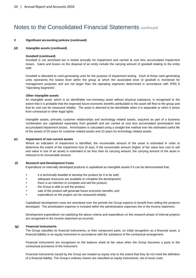#### **3 Significant accounting policies (continued)**

#### **(d) Intangible assets (continued)**

#### **Goodwill (continued)**

Goodwill is not amortised but is tested annually for impairment and carried at cost less accumulated impairment losses. Gains and losses on the disposal of an entity include the carrying amount of goodwill relating to the entity sold.

Goodwill is allocated to cash-generating units for the purpose of impairment testing. Each of those cash-generating units represents the lowest level within the group at which the associated level of goodwill is monitored for management purposes and are not larger than the operating segments determined in accordance with IFRS 8 "Operating Segments".

#### **Other intangible assets**

An intangible asset, which is an identifiable non-monetary asset without physical substance, is recognised to the extent that it is probable that the expected future economic benefits attributable to the asset will flow to the group and that its cost can be measured reliably. The asset is deemed to be identifiable when it is separable or when it arises from contractual or other legal rights.

Intangible assets, primarily customer relationships and technology related assets, acquired as part of a business combination are capitalised separately from goodwill and are carried at cost less accumulated amortisation and accumulated impairment losses. Amortisation is calculated using a straight line method over the estimated useful life of the assets of 20 years for customer related assets and 10 years for technology related assets.

#### **(e) Impairment of non-current assets**

Where an indication of impairment is identified, the recoverable amount of the asset is estimated in order to determine the extent of the impairment loss (if any). If the recoverable amount (higher of fair value less cost to sell and value in use of an asset) is estimated to be less than its carrying amount, the carrying amount of the asset is reduced to its recoverable amount.

#### **(f) Research and Development Costs**

Expenditure on internally developed products is capitalised as intangible assets if it can be demonstrated that:

- it is technically feasible to develop the product for it to be sold;
- adequate resources are available to complete the development;
- there is an intention to complete and sell the product;
- the Group is able to sell the product;
- sale of the product will generate future economic benefits; and
- expenditure on the project can be measured reliably.

Capitalised development costs are amortised over the periods the Group expects to benefit from selling the products developed. The amortisation expense is included within the administrative expenses line in the income statement.

Development expenditure not satisfying the above criteria and expenditure on the research phase of internal projects are recognised in the income statement as incurred.

#### **(g) Financial instruments**

The Group classifies its financial instruments, or their component parts, on initial recognition as a financial asset, a financial liability or an equity instrument in accordance with the substance of the contractual arrangement.

Financial instruments are recognised on the balance sheet at fair value when the Group becomes a party to the contractual provisions of the instrument.

Financial instruments issued by the Group are treated as equity only to the extent that they do not meet the definition of a financial liability. The Group's ordinary shares are classified as equity instruments, net of issue costs.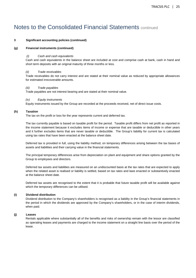#### **3 Significant accounting policies (continued)**

#### **(g) Financial instruments (continued)**

#### (i) Cash and cash equivalents

Cash and cash equivalents in the balance sheet are included at cost and comprise cash at bank, cash in hand and short term deposits with an original maturity of three months or less.

#### (ii) Trade receivables

Trade receivables do not carry interest and are stated at their nominal value as reduced by appropriate allowances for estimated irrecoverable amounts.

#### (iii) Trade payables

Trade payables are not interest bearing and are stated at their nominal value.

#### (iv) Equity instruments

Equity instruments issued by the Group are recorded at the proceeds received, net of direct issue costs.

#### **(h) Taxation**

The tax on the profit or loss for the year represents current and deferred tax.

The tax currently payable is based on taxable profit for the period. Taxable profit differs from net profit as reported in the income statement because it excludes items of income or expense that are taxable or deductible in other years and it further excludes items that are never taxable or deductible. The Group's liability for current tax is calculated using tax rates that have been enacted at the balance sheet date.

Deferred tax is provided in full, using the liability method, on temporary differences arising between the tax bases of assets and liabilities and their carrying value in the financial statements.

The principal temporary differences arise from depreciation on plant and equipment and share options granted by the Group to employees and directors.

Deferred tax assets and liabilities are measured on an undiscounted basis at the tax rates that are expected to apply when the related asset is realised or liability is settled, based on tax rates and laws enacted or substantively enacted at the balance sheet date.

Deferred tax assets are recognised to the extent that it is probable that future taxable profit will be available against which the temporary differences can be utilised.

#### **(i) Dividend distribution**

Dividend distribution to the Company's shareholders is recognised as a liability in the Group's financial statements in the period in which the dividends are approved by the Company's shareholders, or in the case of interim dividends, when paid.

#### **(j) Leases**

Rentals applicable where substantially all of the benefits and risks of ownership remain with the lessor are classified as operating leases and payments are charged to the income statement on a straight line basis over the period of the lease.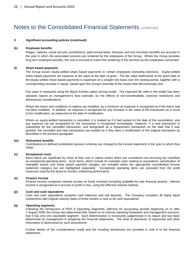#### **3 Significant accounting policies (continued)**

#### **(k) Employee benefits**

Wages, salaries, social security contributions, paid annual leave, bonuses and non-monetary benefits are accrued in the year in which the associated services are rendered by the employees of the Group. Where the Group provides long term employee benefits, the cost is accrued to match the rendering of the services by the employees concerned.

#### **(l) Share based payments**

The Group issues equity-settled share based payments to certain employees (including directors). Equity-settled share based payments are measure at fair value at the date of grant. The fair value determined at the grant date of the equity-settled share based payments is expensed on a straight line basis over the vesting period, together with a corresponding increase in equity, based upon the Group's estimate of the shares that will eventually vest.

Fair value is measured using the Black-Scholes option pricing model. The expected life used in the model has been adjusted, based on management's best estimate, for the effects of non-transferability, exercise restrictions and behavioural considerations.

Where the terms and conditions of options are modified, as a minimum an expense is recognised as if the terms had not been modified. In addition, an expense is recognised for any increase in the value of the transaction as a result of the modification, as measured at the date of modification.

Where an equity-settled transaction is cancelled, it is treated as if it had vested on the date of the cancellation, and any expense not yet recognised for the transaction is recognised immediately. However, if a new transaction is substituted for the cancelled transaction, and designated as a replacement transaction on the date that it was granted, the cancelled and new transactions are treated as if they were a modification of the original transaction as described in the previous paragraph.

#### **(m) Retirement benefits**

Contributions to defined contribution pension schemes are charged to the income statement in the year to which they relate.

#### **(n) Exceptional costs**

Items which are significant by virtue of their size or nature and/or which are considered non-recurring are classified as exceptional operating items. Such items, which include for example costs relating to acquisitions, amortisation of intangible assets and share based payment charges, are included within the appropriate consolidated income statement category but are highlighted separately. Exceptional operating items are excluded from the profit measures used by the board to monitor underlying performance.

#### **(o) Finance income**

Finance income comprises interest income on funds invested (including available-for-sale financial assets). Interest income is recognised as it accrues in profit or loss, using the effective interest method.

#### **(p) Cash and cash equivalents**

Cash and cash equivalents comprise cash balances and call deposits. The Company considers all highly liquid investments with original maturity dates of three months or less to be cash equivalents.

#### **(q) Operating segments**

Following the introduction of IFRS 8 Operating Segments, effective for accounting periods beginning on or after 1 August 2009, the Group has determined that, based on its internal reporting framework and management structure, that it has only one reportable segment. Such determination is necessarily judgemental in its nature and has been determined by management in preparing the financial statements. The level of disclosure of segmental and other information is determined by such assessment.

Further details of the considerations made and the resulting disclosures are provided in note 6 to the financial statements.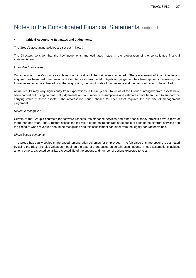#### **4 Critical Accounting Estimates and Judgements**

The Group's accounting policies are set out in Note 3.

The Directors consider that the key judgements and estimates made in the preparation of the consolidated financial statements are:

#### Intangible fixed assets

On acquisition, the Company calculates the fair value of the net assets acquired. The assessment of intangible assets acquired has been performed using a discounted cash flow model. Significant judgement has been applied in assessing the future revenues to be achieved from that acquisition, the growth rate of that revenue and the discount factor to be applied.

Actual results may vary significantly from expectations in future years. Reviews of the Group's intangible fixed assets have been carried out, using commercial judgements and a number of assumptions and estimates have been used to support the carrying value of these assets. The amortisation period chosen for each asset requires the exercise of management judgement.

#### Revenue recognition

Certain of the Group's contracts for software licences, maintenance services and other consultancy projects have a term of more than one year. The Directors assess the fair value of the entire contract attributable to each of the different services and the timing of when revenues should be recognised and this assessment can differ from the legally contracted values.

#### Share-based payments

The Group has equity settled share-based remuneration schemes for employees. The fair value of share options is estimated by using the Black-Scholes valuation model, on the date of grant based on certain assumptions. These assumptions include, among others, expected volatility, expected life of the options and number of options expected to vest.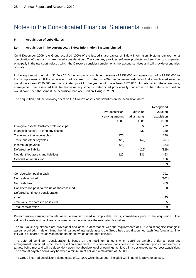#### **5 Acquisition of subsidiaries**

#### **(a) Acquisition in the current year: Safety Information Systems Limited**

On 4 December 2009, the Group acquired 100% of the issued share capital of Safety Information Systems Limited, for a combination of cash and share based consideration. The company provides software products and services to companies principally in the transport industry which the Directors consider complements the existing services and will provide economies of scale.

In the eight month period to 31 July 2010 the company contributed revenue of £252,000 and operating profit of £193,000 to the Group's results. If the acquisition had occurred on 1 August 2009, management estimates that consolidated revenue would have been £320,000 and consolidated profit for the year would have been £175,000. In determining these amounts, management has assumed that the fair value adjustments, determined provisionally that arose on the date of acquisition would have been the same if the acquisition had occurred on 1 August 2009.

The acquisition had the following effect on the Group's assets and liabilities on the acquisition date:

|                                                 |                 |             | Recognised  |
|-------------------------------------------------|-----------------|-------------|-------------|
|                                                 | Pre-acquisition | Fair value  | value on    |
|                                                 | carrying amount | adjustments | acquisition |
|                                                 | £000            | £000        | £000        |
| Intangible assets: Customer relationships       |                 | 272         | 272         |
| Intangible assets: Technology assets            |                 | 230         | 230         |
| Trade and other receivables                     | 170             |             | 170         |
| Trade and other payables                        | (25)            | (42)        | (67)        |
| Income tax payable                              | (23)            |             | (23)        |
| Deferred tax liability                          |                 | (129)       | (129)       |
| Net identified assets and liabilities           | 122             | 331         | 453         |
| Goodwill on acquisition                         |                 |             | 136         |
|                                                 |                 |             | 589         |
|                                                 |                 |             |             |
| Consideration paid in cash                      |                 |             | 791         |
| Net cash acquired                               |                 |             | (302)       |
| Net cash flow                                   |                 |             | 489         |
| Consideration paid: fair value of shares issued |                 |             | 50          |
| Deferred contingent consideration:              |                 |             |             |
| - cash                                          |                 |             | 45          |
| - fair value of shares to be issued             |                 |             | 5           |
| Total consideration                             |                 |             | 589         |

Pre-acquisition carrying amounts were determined based on applicable IFRSs, immediately prior to the acquisition. The values of assets and liabilities recognised on acquisition are the estimated fair values.

The fair value adjustments are provisional and arise in accordance with the requirements of IFRSs to recognise intangible assets acquired. In determining the fair values of intangible assets the Group has used discounted cash flow forecasts. The fair value of shares issued was based on market value at the date of issue.

The deferred contingent consideration is based on the maximum amount which could be payable under an earn out arrangement contained within the acquisition agreement. This contingent consideration is dependent upon certain earnings targets being met and will be dependent upon the absolute level of earnings achieved in a designated period post acquisition. The amount payable could vary between a minimum of £nil and a maximum of £50,000.

The Group incurred acquisition related costs of £24,000 which have been included within administrative expenses.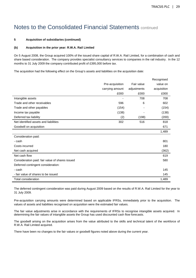#### **5 Acquisition of subsidiaries (continued)**

#### **(b) Acquisition in the prior year: R.W.A. Rail Limited**

On 5 August 2008, the Group acquired 100% of the issued share capital of R.W.A. Rail Limited, for a combination of cash and share based consideration. The company provides specialist consultancy services to companies in the rail industry. In the 12 months to 31 July 2009 the company contributed profit of £395,000 before tax.

The acquisition had the following effect on the Group's assets and liabilities on the acquisition date:

|                                                 |                 |             | Recognised  |
|-------------------------------------------------|-----------------|-------------|-------------|
|                                                 | Pre-acquisition | Fair value  | value on    |
|                                                 | carrying amount | adjustments | acquisition |
|                                                 | £000            | £000        | £000        |
| Intangible assets                               |                 | 708         | 708         |
| Trade and other receivables                     | 596             | 6           | 602         |
| Trade and other payables                        | (154)           |             | (154)       |
| Income tax payable                              | (138)           |             | (138)       |
| Deferred tax liability                          | (2)             | (198)       | (200)       |
| Net identified assets and liabilities           | 302             | 516         | 818         |
| Goodwill on acquisition                         |                 |             | 671         |
|                                                 |                 |             | 1,489       |
| Consideration paid:                             |                 |             |             |
| - cash                                          |                 |             | 801         |
| Costs incurred                                  |                 |             | 180         |
| Net cash acquired                               |                 |             | (362)       |
| Net cash flow                                   |                 |             | 619         |
| Consideration paid: fair value of shares issued |                 |             | 580         |
| Deferred contingent consideration:              |                 |             |             |
| - cash                                          |                 |             | 145         |
| - fair value of shares to be issued             |                 |             | 145         |
| Total consideration                             |                 |             | 1,489       |

The deferred contingent consideration was paid during August 2009 based on the results of R.W.A. Rail Limited for the year to 31 July 2009.

Pre-acquisition carrying amounts were determined based on applicable IFRSs, immediately prior to the acquisition. The values of assets and liabilities recognised on acquisition were the estimated fair values.

The fair value adjustments arise in accordance with the requirements of IFRSs to recognise intangible assets acquired. In determining the fair values of intangible assets the Group has used discounted cash flow forecasts.

The goodwill arising on the acquisition arises from the value attributed to the skills and technical talent of the workforce of R.W.A. Rail Limited acquired.

There have been no changes to the fair values or goodwill figures noted above during the current year.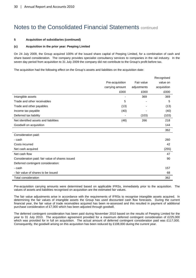#### **5 Acquisition of subsidiaries (continued)**

#### **(c) Acquisition in the prior year: Peeping Limited**

On 24 July 2009, the Group acquired 100% of the issued share capital of Peeping Limited, for a combination of cash and share based consideration. The company provides specialist consultancy services to companies in the rail industry. In the seven day period from acquisition to 31 July 2009 the company did not contribute to the Group's profit before tax.

The acquisition had the following effect on the Group's assets and liabilities on the acquisition date:

|                                                 |                 |             | Recognised  |
|-------------------------------------------------|-----------------|-------------|-------------|
|                                                 | Pre-acquisition | Fair value  | value on    |
|                                                 | carrying amount | adjustments | acquisition |
|                                                 | £000            | £000        | £000        |
| Intangible assets                               |                 | 369         | 369         |
| Trade and other receivables                     | 5               |             | 5           |
| Trade and other payables                        | (13)            |             | (13)        |
| Income tax payable                              | (40)            |             | (40)        |
| Deferred tax liability                          |                 | (103)       | (103)       |
| Net identified assets and liabilities           | (48)            | 266         | 218         |
| Goodwill on acquisition                         |                 |             | 144         |
|                                                 |                 |             | 362         |
| Consideration paid:                             |                 |             |             |
| - cash                                          |                 |             | 260         |
| Costs incurred                                  |                 |             | 42          |
| Net cash acquired                               |                 |             | (255)       |
| Net cash flow                                   |                 |             | 47          |
| Consideration paid: fair value of shares issued |                 |             | 90          |
| Deferred contingent consideration:              |                 |             |             |
| - cash                                          |                 |             | 157         |
| - fair value of shares to be issued             |                 |             | 68          |
| Total consideration                             |                 |             | 362         |

Pre-acquisition carrying amounts were determined based on applicable IFRSs, immediately prior to the acquisition. The values of assets and liabilities recognised on acquisition are the estimated fair values.

The fair value adjustments arise in accordance with the requirements of IFRSs to recognise intangible assets acquired. In determining the fair values of intangible assets the Group has used discounted cash flow forecasts. During the current financial year, the fair value of trade receivables acquired has been re-assessed and this resulted in payment of additional purchase consideration of £7,000 which has been adjusted through goodwill.

The deferred contingent consideration has been paid during November 2010 based on the results of Peeping Limited for the year to 31 July 2010. The acquisition agreement provided for a maximum deferred contingent consideration of £225,000 which was provided for in full on acquisition. The actual amount of deferred contingent consideration paid was £117,000. Consequently, the goodwill arising on this acquisition has been reduced by £108,000 during the current year.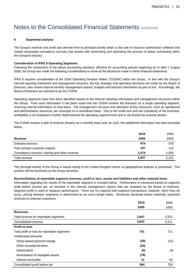#### **6 Segmental analysis**

The Group's revenue and profit was derived from its principal activity which is the sale of resource optimisation software and closely associated consultancy services that assists with automating and optimising the process of labour scheduling within the transport industry.

#### **Consideration of IFRS 8 Operating Segments**

Following the introduction of the above accounting standard, effective for accounting periods beginning on or after 1 August 2009, the Group has made the following considerations to arrive at the disclosure made in these financial statements.

IFRS 8 requires consideration of the Chief Operating Decision Maker ("CODM") within the Group. In line with the Group's internal reporting framework and management structure, the key strategic and operating decisions are made by the Board of Directors, who review internal monthly management reports, budgets and forecast information as part of this. Accordingly, the Board of Directors are deemed to be the CODM.

Operating segments have then been identified based on the internal reporting information and management structures within the Group. From such information it has been noted that the CODM reviews the business as a single operating segment, receiving internal information on that basis. The management structure and allocation of key resources, such as operational and administrative resources, are arranged on a centralised basis. Due to the small size and low complexity of the business, profitability is not analysed in further detail beyond the operating segment level and is not divided by revenue stream.

The CODM reviews a split of revenue streams on a monthly basis and, as such, this additional information has been provided below.

|                                                  | 2010  | 2009  |
|--------------------------------------------------|-------|-------|
| Revenue                                          | £000  | £000  |
| Software licences                                | 876   | 576   |
| Post contract customer support                   | 197   | 142   |
| Consultancy services, training and other revenue | 1,574 | 1,593 |
| Total revenue                                    | 2,647 | 2,311 |

The principal activity of the Group is based mainly in the United Kingdom hence no geographical analysis is presented. This position will be monitored as the Group develops.

#### **Reconciliations of reportable segment revenues, profit or loss, assets and liabilities and other material items**

Information regarding the results of the reportable segment is included below. Performance is measured based on segment profit before income tax, as included in the internal management reports that are reviewed by the Board of Directors. Segment profit is used to measure performance. There are no material inter-segment transactions, however, when they do occur, pricing between segments is determined on an arm's length basis. Revenues disclosed below materially represent revenues to external customers.

|                                              | 2010  | 2009  |
|----------------------------------------------|-------|-------|
|                                              | £000  | £000  |
| <b>Revenues</b>                              |       |       |
| Total revenue for reportable segments        | 2,647 | 2,311 |
| Consolidated revenue                         | 2,647 | 2,311 |
| <b>Profit or loss</b>                        |       |       |
| Total profit or loss for reportable segments | 701   | 711   |
| Unallocated amounts:                         |       |       |
| Share based payment charge                   | (20)  | (41)  |
| Other exceptional items                      | (24)  |       |
| Depreciation                                 | (6)   | (4)   |
| Amortisation of intangible assets            | (78)  |       |
| Interest receivable                          | 11    | 63    |
| Consolidated profit before tax               | 584   | 729   |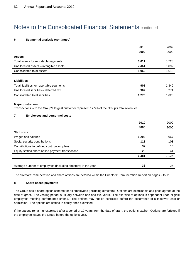#### **6 Segmental analysis (continued)**

|                                           | 2010  | 2009  |
|-------------------------------------------|-------|-------|
|                                           | £000  | £000  |
| <b>Assets</b>                             |       |       |
| Total assets for reportable segments      | 3,611 | 3,723 |
| Unallocated assets - intangible assets    | 2,351 | 1,892 |
| Consolidated total assets                 | 5,962 | 5,615 |
|                                           |       |       |
| Liabilities                               |       |       |
| Total liabilities for reportable segments | 908   | 1,349 |
| Unallocated liabilities - deferred tax    | 362   | 271   |
| Consolidated total liabilities            | 1,270 | 1,620 |

#### **Major customers**

Transactions with the Group's largest customer represent 12.5% of the Group's total revenues.

#### **7 Employees and personnel costs**

|                                                               | 2010  | 2009  |
|---------------------------------------------------------------|-------|-------|
|                                                               | £000  | £000  |
| Staff costs:                                                  |       |       |
| Wages and salaries                                            | 1,206 | 967   |
| Social security contributions                                 | 118   | 103   |
| Contributions to defined contribution plans                   | 37    | 14    |
| Equity-settled share based payment transactions               | 20    | 41    |
|                                                               | 1,381 | 1,125 |
|                                                               |       |       |
| Average number of employees (including directors) in the year | 36    | 26    |

The directors' remuneration and share options are detailed within the Directors' Remuneration Report on pages 9 to 11.

#### **8 Share based payments**

The Group has a share option scheme for all employees (including directors). Options are exercisable at a price agreed at the date of grant. The vesting period is usually between one and five years. The exercise of options is dependent upon eligible employees meeting performance criteria. The options may not be exercised before the occurrence of a takeover, sale or admission. The options are settled in equity once exercised.

If the options remain unexercised after a period of 10 years from the date of grant, the options expire. Options are forfeited if the employee leaves the Group before the options vest.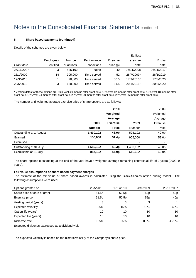#### **8 Share based payments (continued)**

Details of the schemes are given below:

 $\overline{a}$ 

 $\overline{a}$ 

|            |           |            |             |           | Earliest   |            |
|------------|-----------|------------|-------------|-----------|------------|------------|
|            | Employees | Number     | Performance | Exercise  | exercise   | Expiry     |
| Grant date | entitled  | of options | conditions  | price (p) | date       | date       |
| 26/11/2007 | 3         | 525.102    | None        | 40        | 26/11/2008 | 26/11/2017 |
| 28/1/2009  | 14        | 905.000    | Time served | 52        | 28/7/2009* | 28/1/2019  |
| 17/3/2010  |           | 20,000     | Time served | 50.5      | 17/9/2010* | 17/3/2020  |
| 20/5/2010  | 3         | 130.000    | Time served | 51.5      | 20/1/2011* | 20/5/2020  |

\* Vesting dates for these options are: 10% vest six months after grant date, 15% vest 12 months after grant date, 15% vest 18 months after grant date, 15% vest 24 months after grant date, 20% vest 30 months after grant date, 25% vest 36 months after grant date.

The number and weighted average exercise price of share options are as follows:

|                         |               | 2010            |               | 2009     |
|-------------------------|---------------|-----------------|---------------|----------|
|                         |               | Weighted        |               | Weighted |
|                         |               | Average         |               | Average  |
|                         | 2010          | <b>Exercise</b> | 2009          | Exercise |
|                         | <b>Number</b> | <b>Price</b>    | <b>Number</b> | Price    |
| Outstanding at 1 August | 1,430,102     | 48.0p           | 525,102       | 40.0p    |
| Granted                 | 150,000       | 51.4p           | 905,000       | 52.0p    |
| Exercised               | ۰             | $\blacksquare$  |               |          |
| Outstanding at 31 July  | 1,580,102     | 48.3p           | 1,430,102     | 48.0p    |
| Exercisable at 31 July  | 887,102       | 44.9p           | 615,602       | 42.0p    |

The share options outstanding at the end of the year have a weighted average remaining contractual life of 9 years (2009: 9 years).

#### **Fair value assumptions of share based payment charges**

The estimate of the fair value of share based awards is calculated using the Black-Scholes option pricing model. The following assumptions were used:

| Options granted on                               | 20/5/2010 | 17/3/2010 | 28/1/2009 | 26/11/2007      |
|--------------------------------------------------|-----------|-----------|-----------|-----------------|
| Share price at date of grant                     | 51.5p     | 50.5p     | 52p       | 40 <sub>p</sub> |
| Exercise price                                   | 51.5p     | 50.5p     | 52p       | 40 <sub>p</sub> |
| Vesting period (years)                           | 3         | 3         | 3         |                 |
| <b>Expected volatility</b>                       | 15%       | 15%       | 15%       | 40%             |
| Option life (years)                              | 10        | 10        | 10        | 10              |
| Expected life (years)                            | 10        | 10        | 10        | 10              |
| Risk-free rate                                   | 0.5%      | 0.5%      | 0.5%      | 4.75%           |
| Expected dividends expressed as a dividend yield |           |           |           |                 |

The expected volatility is based on the historic volatility of the Company's share price.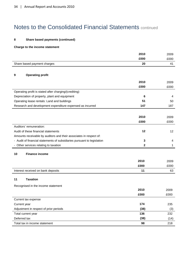### **8 Share based payments (continued)**

#### **Charge to the income statement**

|                                                                         | 2010 | 2009 |
|-------------------------------------------------------------------------|------|------|
|                                                                         | £000 | £000 |
| Share based payment charges                                             | 20   | 41   |
|                                                                         |      |      |
| 9<br><b>Operating profit</b>                                            |      |      |
|                                                                         | 2010 | 2009 |
|                                                                         | £000 | £000 |
| Operating profit is stated after charging/(crediting)                   |      |      |
| Depreciation of property, plant and equipment                           | 6    | 4    |
| Operating lease rentals: Land and buildings                             | 51   | 50   |
| Research and development expenditure expensed as incurred               | 147  | 187  |
|                                                                         |      |      |
|                                                                         | 2010 | 2009 |
|                                                                         | £000 | £000 |
| Auditors' remuneration:                                                 |      |      |
| Audit of these financial statements                                     | 12   | 12   |
| Amounts receivable by auditors and their associates in respect of:      |      |      |
| - Audit of financial statements of subsidiaries pursuant to legislation | 3    | 4    |
| Other services relating to taxation                                     | 2    | 1    |
| 10<br><b>Finance income</b>                                             |      |      |
|                                                                         | 2010 | 2009 |
|                                                                         | £000 | £000 |
| Interest received on bank deposits                                      | 11   | 63   |
| <b>Taxation</b><br>11                                                   |      |      |
| Recognised in the income statement                                      |      |      |
|                                                                         | 2010 | 2009 |
|                                                                         | £000 | £000 |
| Current tax expense                                                     |      |      |
| Current year                                                            | 174  | 235  |
| Adjustment in respect of prior periods                                  | (38) | (3)  |
| Total current year                                                      | 136  | 232  |
| Deferred tax                                                            | (38) | (14) |
| Total tax in income statement                                           | 98   | 218  |
|                                                                         |      |      |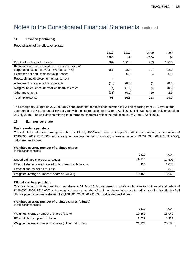#### **11 Taxation (continued)**

Reconciliation of the effective tax rate

|                                                                                                                                               | 2010     | 2010        | 2009     | 2009        |
|-----------------------------------------------------------------------------------------------------------------------------------------------|----------|-------------|----------|-------------|
|                                                                                                                                               | £000     | %           | £000     | %           |
| Profit before tax for the period                                                                                                              | 584      | 100.0       | 729      | 100.0       |
| Expected tax charge based on the standard rate of<br>corporation tax in the UK of 28% (2009: 28%)<br>Expenses not deductible for tax purposes | 163<br>3 | 28.0<br>0.5 | 204<br>4 | 28.0<br>0.5 |
| Research and development enhancement                                                                                                          |          |             |          |             |
| Adjustment in respect of prior periods                                                                                                        | (38)     | (6.5)       | (3)      | (0.4)       |
| Marginal relief / effect of small company tax rates                                                                                           | (7)      | (1.2)       | (6)      | (0.8)       |
| Other movements                                                                                                                               | (23)     | (4.0)       | 19       | 2.6         |
| Total tax expense                                                                                                                             | 98       | 16.8        | 218      | 29.9        |

The Emergency Budget on 22 June 2010 announced that the rate of corporation tax will be reducing from 28% over a four year period to 24% at a rate of 1% per year with the first reduction to 27% on 1 April 2011. This was substantively enacted on 27 July 2010. The calculations relating to deferred tax therefore reflect the reduction to 27% from 1 April 2011.

#### **12 Earnings per share**

#### **Basic earnings per share**

The calculation of basic earnings per share at 31 July 2010 was based on the profit attributable to ordinary shareholders of £486,000 (2009: £511,000) and a weighted average number of ordinary shares in issue of 19,459,000 (2009: 18,949,000), calculated as follows:

#### **Weighted average number of ordinary shares**  In thousands of shares

|                                                          | 2010           | 2009   |
|----------------------------------------------------------|----------------|--------|
| Issued ordinary shares at 1 August                       | 19.134         | 17,503 |
| Effect of shares issued related to business combinations | 325            | 1.076  |
| Effect of shares issued for cash                         | $\blacksquare$ | 370    |
| Weighted average number of shares at 31 July             | 19.459         | 18,949 |

#### **Diluted earnings per share**

The calculation of diluted earnings per share at 31 July 2010 was based on profit attributable to ordinary shareholders of £486,000 (2009: £511,000) and a weighted average number of ordinary shares in issue after adjustment for the effects of all dilutive potential ordinary shares of 21,178,000 (2009: 20,780,000), calculated as follows:

#### **Weighted average number of ordinary shares (diluted)**

In thousands of shares

|                                                        | 2010   | 2009   |
|--------------------------------------------------------|--------|--------|
| Weighted average number of shares (basic)              | 19.459 | 18.949 |
| Effect of shares options in issue                      | 1.719  | 1.831  |
| Weighted average number of shares (diluted) at 31 July | 21.178 | 20.780 |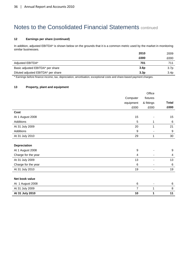#### **12 Earnings per share (continued)**

In addition, adjusted EBITDA\* is shown below on the grounds that it is a common metric used by the market in monitoring similar businesses.

|                                    | 2010             | 2009             |
|------------------------------------|------------------|------------------|
|                                    | £000             | £000             |
| Adjusted EBITDA*                   | 701              | 711              |
| Basic adjusted EBITDA* per share   | 3.6 <sub>p</sub> | 3.7 <sub>p</sub> |
| Diluted adjusted EBITDA* per share | 3.3 <sub>p</sub> | 3.4 <sub>p</sub> |

\* Earnings before finance income, tax, depreciation, amortisation, exceptional costs and share-based payment charges.

#### **13 Property, plant and equipment**

|                     |                | Office     |                  |
|---------------------|----------------|------------|------------------|
|                     | Computer       | fixtures   |                  |
|                     | equipment      | & fittings | <b>Total</b>     |
|                     | £000           | £000       | £000             |
| Cost                |                |            |                  |
| At 1 August 2008    | 15             |            | 15               |
| Additions           | 5              | 1          | 6                |
| At 31 July 2009     | 20             | 1          | 21               |
| Additions           | 9              | ۰          | 9                |
| At 31 July 2010     | 29             | 1          | 30               |
|                     |                |            |                  |
| <b>Depreciation</b> |                |            |                  |
| At 1 August 2008    | 9              |            | $\boldsymbol{9}$ |
| Charge for the year | $\overline{4}$ | ۰          | 4                |
| At 31 July 2009     | 13             | ٠          | 13               |
| Charge for the year | 6              | ۰          | 6                |
| At 31 July 2010     | 19             | ۰          | 19               |
|                     |                |            |                  |
| Net book value      |                |            |                  |
| At 1 August 2008    | 6              |            | 6                |
| At 31 July 2009     | $\overline{7}$ | 1          | 8                |
| At 31 July 2010     | 10             | 1          | 11               |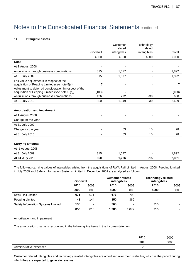#### **14 Intangible assets**

|                                                                                                           |                          | Customer<br>related | Technology<br>related |       |
|-----------------------------------------------------------------------------------------------------------|--------------------------|---------------------|-----------------------|-------|
|                                                                                                           | Goodwill                 | intangibles         | intangibles           | Total |
|                                                                                                           | £000                     | £000                | £000                  | £000  |
| Cost                                                                                                      |                          |                     |                       |       |
| At 1 August 2008                                                                                          |                          |                     |                       |       |
| Acquisitions through business combinations                                                                | 815                      | 1,077               |                       | 1,892 |
| At 31 July 2009                                                                                           | 815                      | 1,077               |                       | 1,892 |
| Fair value adjustments in respect of the<br>acquisition of Peeping Limited (see note 5(c))                | 7                        |                     |                       | 7     |
| Adjustment to deferred consideration in respect of the<br>acquisition of Peeping Limited (see note 5 (c)) | (108)                    |                     |                       | (108) |
| Acquisitions through business combinations                                                                | 136                      | 272                 | 230                   | 638   |
| At 31 July 2010                                                                                           | 850                      | 1,349               | 230                   | 2,429 |
| <b>Amortisation and impairment</b>                                                                        |                          |                     |                       |       |
| At 1 August 2008                                                                                          |                          |                     |                       |       |
| Charge for the year                                                                                       |                          |                     |                       |       |
| At 31 July 2009                                                                                           |                          |                     |                       |       |
| Charge for the year                                                                                       |                          | 63                  | 15                    | 78    |
| At 31 July 2010                                                                                           | $\overline{\phantom{0}}$ | 63                  | 15                    | 78    |
|                                                                                                           |                          |                     |                       |       |
| <b>Carrying amounts</b>                                                                                   |                          |                     |                       |       |
| At 1 August 2008                                                                                          |                          |                     |                       |       |
| At 31 July 2009                                                                                           | 815                      | 1,077               |                       | 1,892 |
| At 31 July 2010                                                                                           | 850                      | 1,286               | 215                   | 2,351 |
|                                                                                                           |                          |                     |                       |       |

The following carrying values of intangibles arising from the acquisitions of RWA Rail Limited in August 2008, Peeping Limited in July 2009 and Safety Information Systems Limited in December 2009 are analysed as follows

|                                    | <b>Goodwill</b> |                          | <b>Customer related</b><br>intangibles |       | <b>Technology related</b><br>intangibles |      |
|------------------------------------|-----------------|--------------------------|----------------------------------------|-------|------------------------------------------|------|
|                                    | 2010            | 2009                     | 2010                                   | 2009  | 2010                                     | 2009 |
|                                    | £000            | £000                     | £000                                   | £000  | £000                                     | £000 |
| <b>RWA Rail Limited</b>            | 671             | 671                      | 673                                    | 708   |                                          |      |
| Peeping Limited                    | 43              | 144                      | 350                                    | 369   | $\blacksquare$                           | ۰    |
| Safety Information Systems Limited | 136             | $\overline{\phantom{0}}$ | 263                                    | ٠     | 215                                      | ۰    |
|                                    | 850             | 815                      | 1.286                                  | 1.077 | 215                                      | ۰    |

Amortisation and impairment

The amortisation charge is recognised in the following line items in the income statement:

|                         | 2010 | 2009                     |
|-------------------------|------|--------------------------|
|                         | £000 | £000                     |
| Administrative expenses | 78   | $\overline{\phantom{0}}$ |

Customer related intangibles and technology related intangibles are amortised over their useful life, which is the period during which they are expected to generate revenue.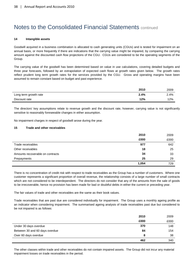#### **14 Intangible assets**

Goodwill acquired in a business combination is allocated to cash generating units (CGUs) and is tested for impairment on an annual basis, or more frequently if there are indications that the carrying value might be impaired, by comparing the carrying amount against the discounted cash flow projections of the CGU. CGUs are considered to be the operating segments of the Group.

The carrying value of the goodwill has been determined based on value in use calculations, covering detailed budgets and three year forecasts, followed by an extrapolation of expected cash flows at growth rates given below. The growth rates reflect prudent long term growth rates for the services provided by the CGU. Gross and operating margins have been assumed to remain constant based on budget and past experience.

|                       | 2010 | 2009 |
|-----------------------|------|------|
| Long term growth rate | 2.4% | 2.4% |
| Discount rate         | 12%  | 12%  |

The directors' key assumptions relate to revenue growth and the discount rate, however, carrying value is not significantly sensitive to reasonably foreseeable changes in either assumption.

No impairment charges in respect of goodwill arose during the year.

#### **15 Trade and other receivables**

|                                  | 2010  | 2009 |
|----------------------------------|-------|------|
|                                  | £000  | £000 |
| Trade receivables                | 977   | 642  |
| Other receivables                | 18    | 25   |
| Amounts recoverable on contracts | 34    | 33   |
| Prepayments                      | 25    | 29   |
|                                  | 1,054 | 729  |

There is no concentration of credit risk with respect to trade receivables as the Group has a number of customers. Where one customer represents a significant proportion of overall revenue, the relationship consists of a large number of small contracts which are not considered to be interdependent. The directors do not consider that any of the amounts from the sale of goods to be irrecoverable, hence no provision has been made for bad or doubtful debts in either the current or preceding year.

The fair values of trade and other receivables are the same as their book values.

Trade receivables that are past due are considered individually for impairment. The Group uses a monthly ageing profile as an indicator when considering impairment. The summarised ageing analysis of trade receivables past due but considered to be not impaired is as follows:

|                                | 2010 | 2009 |
|--------------------------------|------|------|
|                                | £000 | £000 |
| Under 30 days overdue          | 370  | 148  |
| Between 30 and 60 days overdue | 84   | 154  |
| Over 60 days overdue           | 8    | 38   |
|                                | 462  | 340  |

The other classes within trade and other receivables do not contain impaired assets. The Group did not incur any material impairment losses on trade receivables in the period.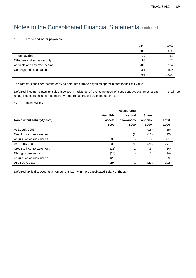#### **16 Trade and other payables**

|                               | 2010 | 2009  |
|-------------------------------|------|-------|
|                               | £000 | £000  |
| Trade payables                | 70   | 62    |
| Other tax and social security | 168  | 174   |
| Accruals and deferred income  | 302  | 252   |
| Contingent consideration      | 167  | 515   |
|                               | 707  | 1,003 |

The Directors consider that the carrying amounts of trade payables approximates to their fair value.

Deferred income relates to sales invoiced in advance of the completion of post contract customer support. This will be recognised in the income statement over the remaining period of the contract.

#### **17 Deferred tax**

|                               |            | Accelerated    |                          |       |
|-------------------------------|------------|----------------|--------------------------|-------|
|                               | Intangible | capital        | <b>Share</b>             |       |
| Non-current liability/(asset) | assets     | allowances     | options                  | Total |
|                               | £000       | £000           | £000                     | £000  |
| At 31 July 2008               | ۰          |                | (18)                     | (18)  |
| Credit to income statement    |            | (1)            | (11)                     | (12)  |
| Acquisition of subsidiaries   | 301        | $\blacksquare$ | $\overline{\phantom{a}}$ | 301   |
| At 31 July 2009               | 301        | (1)            | (29)                     | 271   |
| Credit to income statement    | (21)       | 2              | (5)                      | (24)  |
| Change in tax rates           | (15)       |                | 1                        | (14)  |
| Acquisition of subsidiaries   | 129        |                | $\overline{\phantom{0}}$ | 129   |
| At 31 July 2010               | 394        | 1              | (33)                     | 362   |

Deferred tax is disclosed as a non-current liability in the Consolidated Balance Sheet.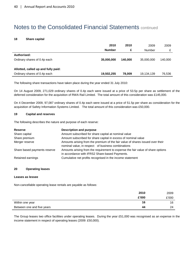#### **18 Share capital**

|                                     | 2010          | 2010    | 2009       | 2009    |
|-------------------------------------|---------------|---------|------------|---------|
|                                     | <b>Number</b> | £       | Number     | £       |
| Authorised:                         |               |         |            |         |
| Ordinary shares of 0.4p each        | 35,000,000    | 140.000 | 35,000,000 | 140,000 |
|                                     |               |         |            |         |
| Allotted, called up and fully paid: |               |         |            |         |
| Ordinary shares of 0.4p each        | 19,502,255    | 78.009  | 19,134,139 | 76,536  |

The following share transactions have taken place during the year ended 31 July 2010:

On 14 August 2009, 271,029 ordinary shares of 0.4p each were issued at a price of 53.5p per share as settlement of the deferred consideration for the acquisition of RWA Rail Limited. The total amount of this consideration was £145,000.

On 4 December 2009, 97,087 ordinary shares of 0.4p each were issued at a price of 51.5p per share as consideration for the acquisition of Safety Information Systems Limited. The total amount of this consideration was £50,000.

#### **19 Capital and reserves**

The following describes the nature and purpose of each reserve:

| <b>Reserve</b>               | <b>Description and purpose</b>                                                                                                       |
|------------------------------|--------------------------------------------------------------------------------------------------------------------------------------|
| Share capital                | Amount subscribed for share capital at nominal value                                                                                 |
| Share premium                | Amount subscribed for share capital in excess of nominal value                                                                       |
| Merger reserve               | Amounts arising from the premium of the fair value of shares issued over their<br>nominal value, in respect of business combinations |
| Share based payments reserve | Amounts arising from the requirement to expense the fair value of share options<br>in accordance with IFRS2 Share-based Payments.    |
| Retained earnings            | Cumulative net profits recognised in the income statement                                                                            |

#### **20 Operating leases**

#### **Leases as lessee**

Non-cancellable operating lease rentals are payable as follows:

|                            | 2010  | 2009  |
|----------------------------|-------|-------|
|                            | £'000 | £'000 |
| Within one year            | 16    | 16    |
| Between one and five years | 44    | 24    |

The Group leases two office facilities under operating leases. During the year £51,000 was recognised as an expense in the income statement in respect of operating leases (2009: £50,000).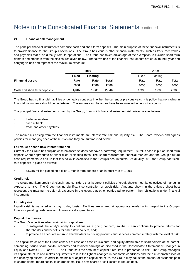#### **21 Financial risk management**

The principal financial instruments comprise cash and short term deposits. The main purpose of these financial instruments is to provide finance for the Group's operations. The Group has various other financial instruments, such as trade receivables and payables that arise directly from its operations. The Group has taken advantage of the exemption to exclude short term debtors and creditors from the disclosures given below. The fair values of the financial instruments are equal to their year end carrying values and represent the maximum exposure.

|                              |              | 2010            |              |       | 2009     |       |
|------------------------------|--------------|-----------------|--------------|-------|----------|-------|
|                              | <b>Fixed</b> | <b>Floating</b> |              | Fixed | Floating |       |
| <b>Financial assets</b>      | Rate         | Rate            | <b>Total</b> | Rate  | Rate     | Total |
|                              | £000         | £000            | £000         | £000  | £000     | £000  |
| Cash and short term deposits | 1,315        | 1.231           | 2,546        | 1,300 | 1,686    | 2,986 |

The Group had no financial liabilities or derivative contracts in either the current or previous year. It is policy that no trading in financial instruments should be undertaken. The surplus cash balances have been invested in deposit accounts.

The principal financial instruments used by the Group, from which financial instrument risk arises, are as follows:

- trade receivables;
- cash at bank;
- trade and other payables.

The main risks arising from the financial instruments are interest rate risk and liquidity risk. The Board reviews and agrees policies for managing each of these risks and they are summarised below.

#### **Fair value or cash flow interest rate risk**

Currently the Group has surplus cash balances so does not have a borrowing requirement. Surplus cash is put on short term deposit where appropriate at either fixed or floating rates. The Board monitors the financial markets and the Group's future cash requirements to ensure that this policy is exercised in the Group's best interests. At 31 July 2010 the Group had fixedrate deposits in place as follows:

• £1.315 million placed on a fixed 1 month term deposit at an interest rate of 1.00%

#### **Credit risk**

The Group monitors credit risk closely and considers that its current policies of credit checks meet its objectives of managing exposure to risk. The Group has no significant concentration of credit risk. Amounts shown in the balance sheet best represent the maximum credit risk exposure in the event that other parties fail to perform their obligations under financial instruments.

#### **Liquidity risk**

Liquidity risk is managed on a day to day basis. Facilities are agreed at appropriate levels having regard to the Group's forecast operating cash flows and future capital expenditures.

#### **Capital disclosures**

The Group's objectives when maintaining capital are:

- to safeguard the entity's ability to continue as a going concern, so that it can continue to provide returns for shareholders and benefits for other stakeholders, and;
- to provide an adequate return to shareholders by pricing products and services commensurately with the level of risk.

The capital structure of the Group consists of cash and cash equivalents, and equity attributable to shareholders of the parent, comprising issued share capital, reserves and retained earnings as disclosed in the Consolidated Statement of Changes in Equity and Notes 12, 18 and 19. The Group sets the amount of capital it requires in proportion to risk. The Group manages its capital structure and makes adjustments to it in the light of changes in economic conditions and the risk characteristics of the underlying assets. In order to maintain or adjust the capital structure, the Group may adjust the amount of dividends paid to shareholders, return capital to shareholders, issue new shares or sell assets to reduce debt.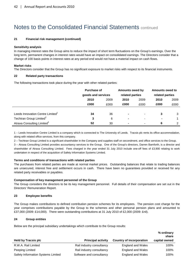#### **21 Financial risk management (continued)**

#### **Sensitivity analysis**

In managing interest rates the Group aims to reduce the impact of short term fluctuations on the Group's earnings. Over the long term, permanent changes in interest rates would have an impact on consolidated earnings. The Directors consider that a change of 100 basis points in interest rates at any period end would not have a material impact on cash flows.

#### **Market risks**

The Directors consider that the Group has no significant exposure to market risks with respect to its financial instruments.

#### **22 Related party transactions**

The following transactions took place during the year with other related parties:

|                                              | <b>Purchase of</b> |      | Amounts owed by |                          | <b>Amounts owed to</b> |               |
|----------------------------------------------|--------------------|------|-----------------|--------------------------|------------------------|---------------|
|                                              | goods and services |      | related parties |                          | related parties        |               |
|                                              | 2010               | 2009 | 2010            | 2009                     | 2010                   | 2009          |
|                                              | £000               | £000 | £000            | £000                     | £000                   | £000          |
|                                              |                    |      |                 |                          |                        |               |
| Leeds Innovation Centre Limited <sup>1</sup> | 34                 | 36   | $\blacksquare$  | $\overline{\phantom{a}}$ | 3                      | 3             |
| Techtran Group Limited <sup>2</sup>          | 3                  | 6    | $\blacksquare$  | $\overline{\phantom{0}}$ | $\blacksquare$         |               |
| Atraxa Consulting Limited <sup>3</sup>       | 52                 | 30   | $\blacksquare$  | $\overline{\phantom{0}}$ | 6                      | $\mathcal{P}$ |

1 – Leeds Innovation Centre Limited is a company which is connected to The University of Leeds. Tracsis plc rents its office accommodation, along with related office services, from this company.

2 – Techtran Group Limited is a significant shareholder in the Company and supplies staff on secondment, and office services to the Group.

3 – Atraxa Consulting Limited provides accountancy services to the Group. One of the Group's directors, Darren Bamforth, is a director and shareholder of Atraxa Consulting Limited. Fees charged in the year ended 31 July 2010 include one-off fees of £3,900 relating to work undertaken in respect of the acquisition of Safety Information Systems Limited.

#### **Terms and conditions of transactions with related parties**

The purchases from related parties are made at normal market prices. Outstanding balances that relate to trading balances are unsecured, interest free and settlement occurs in cash. There have been no guarantees provided or received for any related party receivables or payables.

#### **Compensation of key management personnel of the Group**

The Group considers the directors to be its key management personnel. Full details of their compensation are set out in the Directors' Remuneration Report.

#### **23 Employee benefits**

The Group makes contributions to defined contribution pension schemes for its employees. The pension cost charge for the year comprises contributions payable by the Group to the schemes and other personal pension plans and amounted to £37,000 (2009: £14,000). There were outstanding contributions at 31 July 2010 of £2,000 (2009: £nil).

#### **24 Group entities**

Below are the principal subsidiary undertakings which contribute to the Group results:

|                                    |                           |                                 | % ordinary<br>share |
|------------------------------------|---------------------------|---------------------------------|---------------------|
| <b>Held by Tracsis plc</b>         | <b>Principal activity</b> | <b>Country of incorporation</b> | capital owned       |
| R.W.A. Rail Limited                | Rail industry consultancy | <b>England and Wales</b>        | 100%                |
| Peeping Limited                    | Rail industry consultancy | <b>England and Wales</b>        | 100%                |
| Safety Information Systems Limited | Software and consultancy  | England and Wales               | 100%                |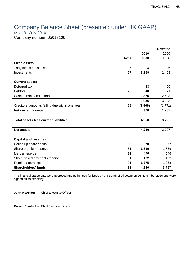## Company Balance Sheet (presented under UK GAAP)

as at 31 July 2010

Company number: 05019106

|                                                |             |         | Restated |
|------------------------------------------------|-------------|---------|----------|
|                                                |             | 2010    | 2009     |
|                                                | <b>Note</b> | £000    | £000     |
| <b>Fixed assets</b>                            |             |         |          |
| Tangible fixed assets                          | 26          | 3       | 6        |
| Investments                                    | 27          | 3,259   | 2,469    |
| <b>Current assets</b>                          |             |         |          |
| Deferred tax                                   |             | 33      | 29       |
| <b>Debtors</b>                                 | 28          | 548     | 371      |
| Cash at bank and in hand                       |             | 2,375   | 2,623    |
|                                                |             | 2,956   | 3,023    |
| Creditors: amounts falling due within one year | 29          | (1,968) | (1,771)  |
| <b>Net current assets</b>                      |             | 988     | 1,252    |
|                                                |             |         |          |
| <b>Total assets less current liabilities</b>   |             | 4,250   | 3,727    |
| <b>Net assets</b>                              |             | 4,250   | 3,727    |
| <b>Capital and reserves</b>                    |             |         |          |
| Called up share capital                        | 30          | 78      | 77       |
| Share premium reserve                          | 31          | 1,839   | 1,839    |
| Merger reserve                                 | 31          | 836     | 646      |
| Share based payments reserve                   | 31          | 122     | 102      |
| Retained earnings                              | 31          | 1,375   | 1,063    |
| Shareholders' funds                            | 33          | 4,250   | 3,727    |

The financial statements were approved and authorised for issue by the Board of Directors on 26 November 2010 and were signed on its behalf by:

**John McArthur** – Chief Executive Officer

**Darren Bamforth- Chief Financial Officer**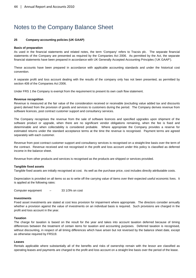### Notes to the Company Balance Sheet

#### **25 Company accounting policies (UK GAAP)**

#### **Basis of preparation**

As used in the financial statements and related notes, the term 'Company' refers to Tracsis plc. The separate financial statements of the Company are presented as required by the Companies Act 2006. As permitted by the Act, the separate financial statements have been prepared in accordance with UK Generally Accepted Accounting Principles ('UK GAAP').

These accounts have been prepared in accordance with applicable accounting standards and under the historical cost convention.

A separate profit and loss account dealing with the results of the company only has not been presented, as permitted by section 408 of the Companies Act 2006.

Under FRS 1 the Company is exempt from the requirement to present its own cash flow statement.

#### **Revenue recognition**

Revenue is measured at the fair value of the consideration received or receivable (excluding value added tax and discounts given) derived from the provision of goods and services to customers during the period. The Company derives revenue from software licences, post contract customer support and consultancy services.

The Company recognises the revenue from the sale of software licences and specified upgrades upon shipment of the software product or upgrade, when there are no significant vendor obligations remaining, when the fee is fixed and determinable and when collectability is considered probable. Where appropriate the Company provides a reserve for estimated returns under the standard acceptance terms at the time the revenue is recognised. Payment terms are agreed separately with each customer.

Revenue from post contract customer support and consultancy services is recognised on a straight-line basis over the term of the contract. Revenue received and not recognised in the profit and loss account under this policy is classified as deferred income in the balance sheet.

Revenue from other products and services is recognised as the products are shipped or services provided.

#### **Tangible fixed assets**

Tangible fixed assets are initially recognised at cost. As well as the purchase price, cost includes directly attributable costs.

Depreciation is provided on all items so as to write off the carrying value of items over their expected useful economic lives. It is applied at the following rates:

Computer equipment – 33 1/3% on cost

#### **Investments**

Fixed asset investments are stated at cost less provision for impairment where appropriate. The directors consider annually whether a provision against the value of investments on an individual basis is required. Such provisions are charged in the profit and loss account in the year.

#### **Taxation**

The charge for taxation is based on the result for the year and takes into account taxation deferred because of timing differences between the treatment of certain items for taxation and accounting purposes. Deferred taxation is recognised, without discounting, in respect of all timing differences which have arisen but not reversed by the balance sheet date, except as otherwise required by FRS19.

#### **Leases**

Rentals applicable where substantially all of the benefits and risks of ownership remain with the lessor are classified as operating leases and payments are charged to the profit and loss account on a straight line basis over the period of the lease.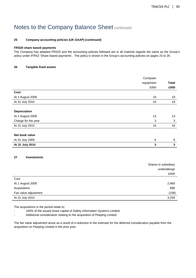### Notes to the Company Balance Sheet continued

#### **25 Company accounting policies (UK GAAP) (continued)**

#### **FRS20 share based payments**

The Company has adopted FRS20 and the accounting policies followed are in all material regards the same as the Group's policy under IFRS2 'Share based payments'. The policy is shown in the Group's accounting policies on pages 23 to 26.

#### **26 Tangible fixed assets**

|                     | Computer  |              |
|---------------------|-----------|--------------|
|                     | equipment | <b>Total</b> |
|                     | £000      | £000         |
| Cost                |           |              |
| At 1 August 2009    | 19        | 19           |
| At 31 July 2010     | 19        | 19           |
|                     |           |              |
| Depreciation        |           |              |
| At 1 August 2009    | 13        | 13           |
| Charge for the year | 3         | 3            |
| At 31 July 2010     | 16        | 16           |
|                     |           |              |
| Net book value      |           |              |
| At 31 July 2009     | 6         | 6            |
| At 31 July 2010     | 3         | $\mathbf{3}$ |

#### **27 Investments**

|                       | Shares in subsidiary |
|-----------------------|----------------------|
|                       | undertakings         |
|                       | £000                 |
| Cost                  |                      |
| At 1 August 2009      | 2,469                |
| Acquisitions          | 898                  |
| Fair value adjustment | (108)                |
| At 31 July 2010       | 3,259                |

The acquisitions in the period relate to:

- 100% of the issued share capital of Safety Information Systems Limited.

Additional consideration relating to the acquisition of Peeping Limited.

The fair value adjustment arose as a result of a reduction in the estimate for the deferred consideration payable from the acquisition on Peeping Limited in the prior year.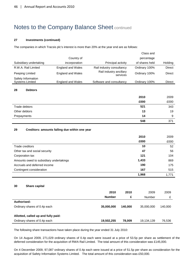### Notes to the Company Balance Sheet continued

#### **27 Investments (continued)**

The companies in which Tracsis plc's interest is more than 20% at the year end are as follows:

|                                              |                                                |                                     | Class and      |               |
|----------------------------------------------|------------------------------------------------|-------------------------------------|----------------|---------------|
|                                              | Country of                                     |                                     | percentage     |               |
| Subsidiary undertaking                       | incorporation                                  | Principal activity                  | of shares held | Holding       |
| R.W.A. Rail Limited                          | England and Wales                              | Rail industry consultancy           | Ordinary 100%  | Direct        |
| Peeping Limited                              | <b>England and Wales</b>                       | Rail industry ancillary<br>services | Ordinary 100%  | <b>Direct</b> |
| Safety Information<br><b>Systems Limited</b> | <b>England and Wales</b>                       | Software and consultancy            | Ordinary 100%  | Direct        |
| 28<br><b>Debtors</b>                         |                                                |                                     |                |               |
|                                              |                                                |                                     | 2010           | 2009          |
|                                              |                                                |                                     | £000           | £000          |
| Trade debtors                                |                                                |                                     | 521            | 343           |
| Other debtors                                |                                                |                                     | 13             | 19            |
| Prepayments                                  |                                                |                                     | 14             | 9             |
|                                              |                                                |                                     | 548            | 371           |
| 29                                           | Creditors: amounts falling due within one year |                                     |                |               |
|                                              |                                                |                                     | 2010           | 2009          |
|                                              |                                                |                                     | £000           | £000          |
| <b>Trade creditors</b>                       |                                                |                                     | 10             | 52            |
| Other tax and social security                |                                                |                                     | 47             | 56            |
| Corporation tax                              |                                                |                                     | 121            | 104           |

| Amounts owed to subsidiary undertakings | 1.433 | 869   |
|-----------------------------------------|-------|-------|
| Accruals and deferred income            | 190   | 175   |
| Contingent consideration                | 167   | 515   |
|                                         | 1.968 | 1.771 |

#### **30 Share capital**

|                                     | 2010          | 2010    | 2009       | 2009    |
|-------------------------------------|---------------|---------|------------|---------|
|                                     | <b>Number</b> | £       | Number     | £       |
| Authorised:                         |               |         |            |         |
| Ordinary shares of 0.4p each        | 35,000,000    | 140.000 | 35,000,000 | 140.000 |
|                                     |               |         |            |         |
| Allotted, called up and fully paid: |               |         |            |         |
| Ordinary shares of 0.4p each        | 19,502,255    | 78,009  | 19,134,139 | 76,536  |

The following share transactions have taken place during the year ended 31 July 2010:

On 14 August 2009, 271,029 ordinary shares of 0.4p each were issued at a price of 53.5p per share as settlement of the deferred consideration for the acquisition of RWA Rail Limited. The total amount of this consideration was £145,000.

On 4 December 2009, 97,087 ordinary shares of 0.4p each were issued at a price of 51.5p per share as consideration for the acquisition of Safety Information Systems Limited. The total amount of this consideration was £50,000.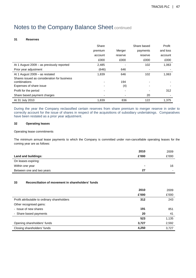## Notes to the Company Balance Sheet continued

#### **31 Reserves**

|                                                             | Share   |                | Share based | Profit   |
|-------------------------------------------------------------|---------|----------------|-------------|----------|
|                                                             | premium | Merger         | payments    | and loss |
|                                                             | account | reserve        | reserve     | account  |
|                                                             | £000    | £000           | £000        | £000     |
| At 1 August 2009 - as previously reported                   | 2,485   |                | 102         | 1,063    |
| Prior year adjustment                                       | (646)   | 646            |             |          |
| At 1 August 2009 - as restated                              | 1,839   | 646            | 102         | 1,063    |
| Shares issued as consideration for business<br>combinations |         | 194            |             |          |
| Expenses of share issue                                     | ٠       | (4)            |             |          |
| Profit for the period                                       | ٠       |                |             | 312      |
| Share based payment charges                                 | ٠       | $\blacksquare$ | 20          |          |
| At 31 July 2010                                             | 1,839   | 836            | 122         | 1,375    |

During the year the Company reclassified certain reserves from share premium to merger reserve in order to correctly account for the issue of shares in respect of the acquisitions of subsidiary undertakings. Comparatives have been restated as a prior year adjustment.

#### **32 Operating leases**

#### Operating lease commitments

The minimum annual lease payments to which the Company is committed under non-cancellable operating leases for the coming year are as follows:

|                           | 2010           | 2009                     |
|---------------------------|----------------|--------------------------|
| Land and buildings:       | £'000          | £'000                    |
| On leases expiring:       |                |                          |
| Within one year           | $\blacksquare$ | 16                       |
| Between one and two years | 27             | $\overline{\phantom{0}}$ |

#### **33 Reconciliation of movement in shareholders' funds**

|                                              | 2010  | 2009  |
|----------------------------------------------|-------|-------|
|                                              | £'000 | £'000 |
| Profit attributable to ordinary shareholders | 312   | 243   |
| Other recognised gains:                      |       |       |
| - Issue of new shares                        | 191   | 851   |
| - Share based payments                       | 20    | 41    |
|                                              | 523   | 1,135 |
| Opening shareholders' funds                  | 3,727 | 2,592 |
| Closing shareholders' funds                  | 4,250 | 3,727 |